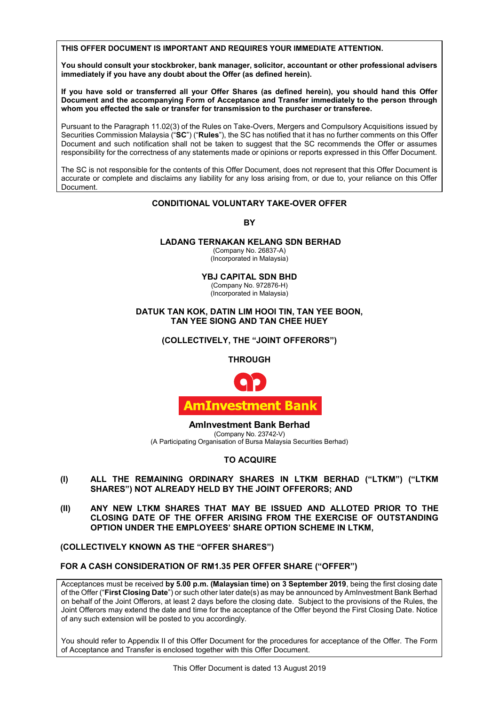THIS OFFER DOCUMENT IS IMPORTANT AND REQUIRES YOUR IMMEDIATE ATTENTION.

You should consult your stockbroker, bank manager, solicitor, accountant or other professional advisers  $\vert$ immediately if you have any doubt about the Offer (as defined herein). **immediately if you have any doubt about the Offer (as defined herein). immediately if you have any doubt about the Offer (as defined herein).**

**If you have sold or transferred all your Offer Shares (as defined herein), you should hand this Offer**  Document and the accompanying Form of Acceptance and Transfer immediately to the person through whom you effected the sale or transfer for transmission to the purchaser or transferee. **If you have sold or transferred all your Offer Shares (as defined herein), you should hand this Offer If you have sold or transferred all your Offer Shares (as defined herein), you should hand this Offer**   $m$  and  $m$  and  $m$  and  $m$  and  $m$  and  $m$  and  $m$  and  $m$  and  $m$  and  $m$  and  $m$  and  $m$ **Document and the accompanying Form of Acceptance and Transfer immediately to the person through** 

Pursuality of the Paragraph TT.02(3) of the Rules of Take-Overs, Mergers and Compusory Acquisitions issued by<br>Securities Commission Malaysia ("SC") ("Rules"), the SC has notified that it has no further comments on this Off  $36$  Decurries Commission Malaysia ( $36$ ) (Kules ), the 3C has notified that it has no further comments on this Oner<br>Document and such notification shall not be taken to suggest that the SC recommends the Offer or assumes Document and such notification shall not be taken to suggest that the SC recommends the Offer or assumes responsibility for the correctness of any statements made or opinions or reports expressed in this Offer Document. Pursuant to the Paragraph 11.02(3) of the Rules on Take-Overs, Mergers and Compulsory Acquisitions issued by Pursuant to the Paragraph 11.02(3) of the Rules on Take-Overs, Mergers and Compulsory Acquisitions issued by responsibility for the correctness of any statements made or opinions or reports expressed in this Offer Document. Document and such notification shall not be taken to suggest that the SC recommends the Offer or assumes responsibility for the correctness of any statements made or opinions or reports expressed in this Offer Document.

The SC is not responsible for the contents of this Offer Document, does not represent that this Offer Document is accurate or complete and disclaims any liability for any loss arising from, or due to, your reliance on this Offer Document. Document. Document. Document. Document.The SC is not responsible for the contents of this Offer Document, does not represent that this Offer Document is | accuration or complete and disclaims any liability for any loss arising from, or due to, your reliance on the offer The SC is not responsible for the contents of this Offer Document, does not represent that this Offer Document is a discovered on the Offer accurate or complete and disclaims any liability for any loss arising from, or due to, your reliance on this Offer

## **CONDITIONAL VOLUNTARY TAKE-OVER OFFER CONDITIONAL VOLUNTARY TAKE-OVER OFFER CONDITIONAL VOLUNTARY TAKE-OVER OFFER CONDITIONAL VOLUNTARY TAKE-OVER OFFER CONDITIONAL VOLUNTARY TAKE-OVER OFFER**

**BY BY BY BY BY**

## **LADANG TERNAKAN KELANG SDN BERHAD LADANG TERNAKAN KELANG SDN BERHAD LADANG TERNAKAN KELANG SDN BERHAD LADANG TERNAKAN KELANG SDN BERHAD**

(Company No. 26837-A) (Company No. 26837-A) (Company No. 26837-A) **LADANG TERNAKAN KELANG SDN BERHAD** (Company No. 26837-A) (Incorporated in Malaysia) (Incorporated in Malaysia) (Incorporated in Malaysia)

**YBJ CAPITAL SDN BHD YBJ CAPITAL SDN BHD**

**YBJ CAPITAL SDN BHD** (Company No. 972876-H) (Company No. 972876-H) **YBJ CAPITAL SDN BHD YBJ CAPITAL SDN BHD** (Company No. 972876-H) (Incorporated in Malaysia)  $($  $...$ c $.$ porated in Malaysia) (Company No. 972876-H) (Incorporated in Malaysia)

DATUK TAN KOK, DATIN LIM HOOI TIN, TAN YEE BOON, **TAN YEE SIONG AND TAN CHEE HUEY TAN YEE SIONG AND TAN CHEE HUEY TAN YEE SIONG AND TAN CHEE HUEY**

**(COLLECTIVELY, THE "JOINT OFFERORS") (COLLECTIVELY, THE "JOINT OFFERORS") (COLLECTIVELY, THE "JOINT OFFERORS") (COLLECTIVELY, THE "JOINT OFFERORS") (COLLECTIVELY, THE "JOINT OFFERORS")**

**THROUGH THROUGH THROUGH THROUGH THROUGH**



**AmInvestment Bank Berhad AmInvestment Bank Berhad AmInvestment Bank Berhad AmInvestment Bank Berhad AmInvestment Bank Berhad** (Company No. 23742-V) (Company No. 23742-V) (Company No. 23742-V) (Company No. 23742-V) (Company No. 23742-V) (A Participating Organisation of Bursa Malaysia Securities Berhad)

**TO ACQUIRE TO ACQUIRE TO ACQUIRE TO ACQUIRE TO ACQUIRE** 

- (I) ALL THE REMAINING ORDINARY SHARES IN LTKM BERHAD ("LTKM") ("LTKM SHARES") NOT ALREADY HELD BY THE JOINT OFFERORS; AND
- (II) ANY NEW LTKM SHARES THAT MAY BE ISSUED AND ALLOTED PRIOR TO THE CLOSING DATE OF THE OFFER ARISING FROM THE EXERCISE OF OUTSTANDING OPTION UNDER THE EMPLOYEES' SHARE OPTION SCHEME IN LTKM,

(COLLECTIVELY KNOWN AS THE "OFFER SHARES")

FOR A CASH CONSIDERATION OF RM1.35 PER OFFER SHARE ("OFFER")

Acceptances must be received by 5.00 p.m. (Malaysian time) on 3 September 2019, being the first closing date of the Offer ("First Closing Date") or such other later date(s) as may be announced by Aminvestment Bank Berhad on behalf of the Joint Offerors, at least 2 days before the closing date. Subject to the provisions of the Rules, the Joint Offerors may extend the date and time for the acceptance of the Offer beyond the First Closing Date. Notice of any such extension will be posted to you accordingly.

You should refer to Appendix II of this Offer Document for the procedures for acceptance of the Offer. The Form  $\Big\vert$ of Acceptance and Transfer is enclosed together with this Offer Document.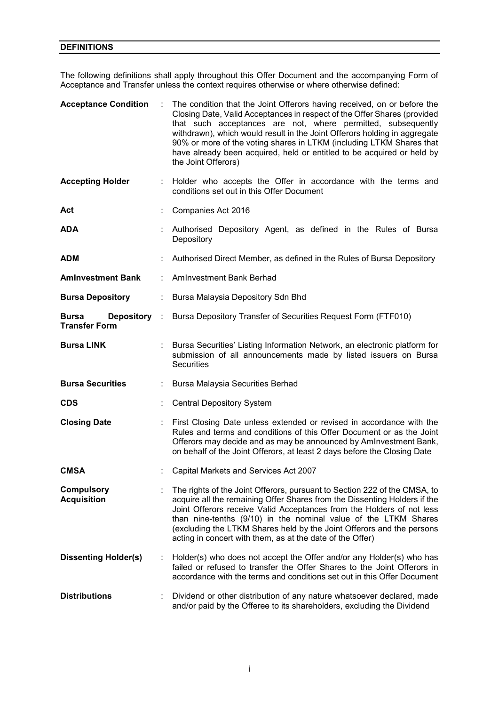## **DEFINITIONS**

The following definitions shall apply throughout this Offer Document and the accompanying Form of Acceptance and Transfer unless the context requires otherwise or where otherwise defined:

| <b>Acceptance Condition</b>                          | ÷ | The condition that the Joint Offerors having received, on or before the<br>Closing Date, Valid Acceptances in respect of the Offer Shares (provided<br>that such acceptances are not, where permitted, subsequently<br>withdrawn), which would result in the Joint Offerors holding in aggregate<br>90% or more of the voting shares in LTKM (including LTKM Shares that<br>have already been acquired, held or entitled to be acquired or held by<br>the Joint Offerors) |
|------------------------------------------------------|---|---------------------------------------------------------------------------------------------------------------------------------------------------------------------------------------------------------------------------------------------------------------------------------------------------------------------------------------------------------------------------------------------------------------------------------------------------------------------------|
| <b>Accepting Holder</b>                              |   | : Holder who accepts the Offer in accordance with the terms and<br>conditions set out in this Offer Document                                                                                                                                                                                                                                                                                                                                                              |
| Act                                                  |   | Companies Act 2016                                                                                                                                                                                                                                                                                                                                                                                                                                                        |
| <b>ADA</b>                                           |   | Authorised Depository Agent, as defined in the Rules of Bursa<br>Depository                                                                                                                                                                                                                                                                                                                                                                                               |
| <b>ADM</b>                                           |   | Authorised Direct Member, as defined in the Rules of Bursa Depository                                                                                                                                                                                                                                                                                                                                                                                                     |
| <b>Aminvestment Bank</b>                             |   | <b>AmInvestment Bank Berhad</b>                                                                                                                                                                                                                                                                                                                                                                                                                                           |
| <b>Bursa Depository</b>                              |   | Bursa Malaysia Depository Sdn Bhd                                                                                                                                                                                                                                                                                                                                                                                                                                         |
| Depository :<br><b>Bursa</b><br><b>Transfer Form</b> |   | Bursa Depository Transfer of Securities Request Form (FTF010)                                                                                                                                                                                                                                                                                                                                                                                                             |
| <b>Bursa LINK</b>                                    |   | Bursa Securities' Listing Information Network, an electronic platform for<br>submission of all announcements made by listed issuers on Bursa<br><b>Securities</b>                                                                                                                                                                                                                                                                                                         |
| <b>Bursa Securities</b>                              |   | Bursa Malaysia Securities Berhad                                                                                                                                                                                                                                                                                                                                                                                                                                          |
| <b>CDS</b>                                           |   | <b>Central Depository System</b>                                                                                                                                                                                                                                                                                                                                                                                                                                          |
| <b>Closing Date</b>                                  |   | First Closing Date unless extended or revised in accordance with the<br>Rules and terms and conditions of this Offer Document or as the Joint<br>Offerors may decide and as may be announced by AmInvestment Bank,<br>on behalf of the Joint Offerors, at least 2 days before the Closing Date                                                                                                                                                                            |
| <b>CMSA</b>                                          |   | Capital Markets and Services Act 2007                                                                                                                                                                                                                                                                                                                                                                                                                                     |
| <b>Compulsory</b><br><b>Acquisition</b>              |   | The rights of the Joint Offerors, pursuant to Section 222 of the CMSA, to<br>acquire all the remaining Offer Shares from the Dissenting Holders if the<br>Joint Offerors receive Valid Acceptances from the Holders of not less<br>than nine-tenths (9/10) in the nominal value of the LTKM Shares<br>(excluding the LTKM Shares held by the Joint Offerors and the persons<br>acting in concert with them, as at the date of the Offer)                                  |
| <b>Dissenting Holder(s)</b>                          |   | Holder(s) who does not accept the Offer and/or any Holder(s) who has<br>failed or refused to transfer the Offer Shares to the Joint Offerors in<br>accordance with the terms and conditions set out in this Offer Document                                                                                                                                                                                                                                                |
| <b>Distributions</b>                                 |   | Dividend or other distribution of any nature whatsoever declared, made<br>and/or paid by the Offeree to its shareholders, excluding the Dividend                                                                                                                                                                                                                                                                                                                          |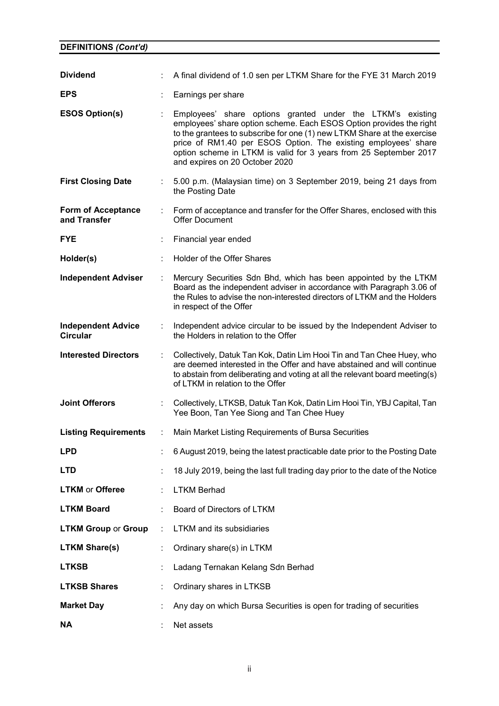| <b>Dividend</b>                              |   | A final dividend of 1.0 sen per LTKM Share for the FYE 31 March 2019                                                                                                                                                                                                                                                                                                                  |
|----------------------------------------------|---|---------------------------------------------------------------------------------------------------------------------------------------------------------------------------------------------------------------------------------------------------------------------------------------------------------------------------------------------------------------------------------------|
| <b>EPS</b>                                   |   | Earnings per share                                                                                                                                                                                                                                                                                                                                                                    |
| <b>ESOS Option(s)</b>                        | ÷ | Employees' share options granted under the LTKM's existing<br>employees' share option scheme. Each ESOS Option provides the right<br>to the grantees to subscribe for one (1) new LTKM Share at the exercise<br>price of RM1.40 per ESOS Option. The existing employees' share<br>option scheme in LTKM is valid for 3 years from 25 September 2017<br>and expires on 20 October 2020 |
| <b>First Closing Date</b>                    |   | 5.00 p.m. (Malaysian time) on 3 September 2019, being 21 days from<br>the Posting Date                                                                                                                                                                                                                                                                                                |
| <b>Form of Acceptance</b><br>and Transfer    | ÷ | Form of acceptance and transfer for the Offer Shares, enclosed with this<br><b>Offer Document</b>                                                                                                                                                                                                                                                                                     |
| <b>FYE</b>                                   |   | Financial year ended                                                                                                                                                                                                                                                                                                                                                                  |
| Holder(s)                                    |   | Holder of the Offer Shares                                                                                                                                                                                                                                                                                                                                                            |
| <b>Independent Adviser</b>                   |   | Mercury Securities Sdn Bhd, which has been appointed by the LTKM<br>Board as the independent adviser in accordance with Paragraph 3.06 of<br>the Rules to advise the non-interested directors of LTKM and the Holders<br>in respect of the Offer                                                                                                                                      |
| <b>Independent Advice</b><br><b>Circular</b> |   | Independent advice circular to be issued by the Independent Adviser to<br>the Holders in relation to the Offer                                                                                                                                                                                                                                                                        |
| <b>Interested Directors</b>                  | ÷ | Collectively, Datuk Tan Kok, Datin Lim Hooi Tin and Tan Chee Huey, who<br>are deemed interested in the Offer and have abstained and will continue<br>to abstain from deliberating and voting at all the relevant board meeting(s)<br>of LTKM in relation to the Offer                                                                                                                 |
| <b>Joint Offerors</b>                        |   | Collectively, LTKSB, Datuk Tan Kok, Datin Lim Hooi Tin, YBJ Capital, Tan<br>Yee Boon, Tan Yee Siong and Tan Chee Huey                                                                                                                                                                                                                                                                 |
| <b>Listing Requirements</b>                  | ÷ | Main Market Listing Requirements of Bursa Securities                                                                                                                                                                                                                                                                                                                                  |
| <b>LPD</b>                                   |   | 6 August 2019, being the latest practicable date prior to the Posting Date                                                                                                                                                                                                                                                                                                            |
| <b>LTD</b>                                   |   | 18 July 2019, being the last full trading day prior to the date of the Notice                                                                                                                                                                                                                                                                                                         |
| <b>LTKM</b> or Offeree                       | ÷ | <b>LTKM Berhad</b>                                                                                                                                                                                                                                                                                                                                                                    |
| <b>LTKM Board</b>                            |   | Board of Directors of LTKM                                                                                                                                                                                                                                                                                                                                                            |
| <b>LTKM Group or Group</b>                   | ÷ | <b>LTKM</b> and its subsidiaries                                                                                                                                                                                                                                                                                                                                                      |
| <b>LTKM Share(s)</b>                         |   | Ordinary share(s) in LTKM                                                                                                                                                                                                                                                                                                                                                             |
| <b>LTKSB</b>                                 | t | Ladang Ternakan Kelang Sdn Berhad                                                                                                                                                                                                                                                                                                                                                     |
| <b>LTKSB Shares</b>                          | ÷ | Ordinary shares in LTKSB                                                                                                                                                                                                                                                                                                                                                              |
| <b>Market Day</b>                            |   | Any day on which Bursa Securities is open for trading of securities                                                                                                                                                                                                                                                                                                                   |
| ΝA                                           |   | Net assets                                                                                                                                                                                                                                                                                                                                                                            |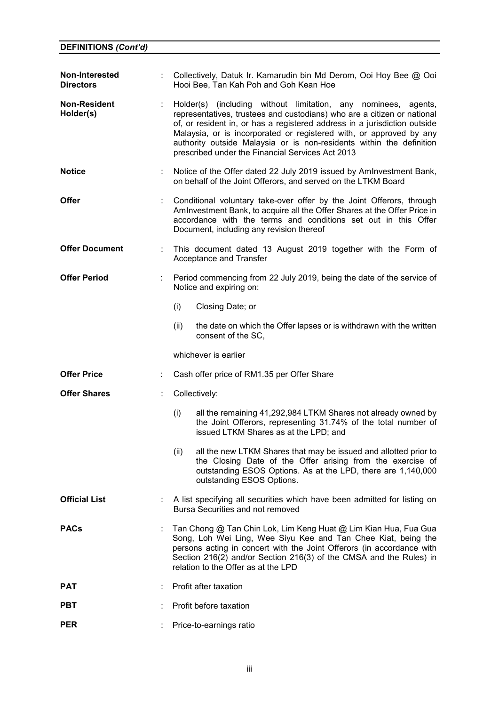| Non-Interested<br><b>Directors</b> |   | Collectively, Datuk Ir. Kamarudin bin Md Derom, Ooi Hoy Bee @ Ooi<br>Hooi Bee, Tan Kah Poh and Goh Kean Hoe                                                                                                                                                                                                                                                                                                               |
|------------------------------------|---|---------------------------------------------------------------------------------------------------------------------------------------------------------------------------------------------------------------------------------------------------------------------------------------------------------------------------------------------------------------------------------------------------------------------------|
| <b>Non-Resident</b><br>Holder(s)   | ÷ | Holder(s) (including without limitation, any nominees, agents,<br>representatives, trustees and custodians) who are a citizen or national<br>of, or resident in, or has a registered address in a jurisdiction outside<br>Malaysia, or is incorporated or registered with, or approved by any<br>authority outside Malaysia or is non-residents within the definition<br>prescribed under the Financial Services Act 2013 |
| <b>Notice</b>                      |   | Notice of the Offer dated 22 July 2019 issued by Aminvestment Bank,<br>on behalf of the Joint Offerors, and served on the LTKM Board                                                                                                                                                                                                                                                                                      |
| <b>Offer</b>                       |   | Conditional voluntary take-over offer by the Joint Offerors, through<br>AmInvestment Bank, to acquire all the Offer Shares at the Offer Price in<br>accordance with the terms and conditions set out in this Offer<br>Document, including any revision thereof                                                                                                                                                            |
| <b>Offer Document</b>              | ÷ | This document dated 13 August 2019 together with the Form of<br>Acceptance and Transfer                                                                                                                                                                                                                                                                                                                                   |
| <b>Offer Period</b>                |   | Period commencing from 22 July 2019, being the date of the service of<br>Notice and expiring on:                                                                                                                                                                                                                                                                                                                          |
|                                    |   | (i)<br>Closing Date; or                                                                                                                                                                                                                                                                                                                                                                                                   |
|                                    |   | the date on which the Offer lapses or is withdrawn with the written<br>(ii)<br>consent of the SC,                                                                                                                                                                                                                                                                                                                         |
|                                    |   | whichever is earlier                                                                                                                                                                                                                                                                                                                                                                                                      |
| <b>Offer Price</b>                 | ÷ | Cash offer price of RM1.35 per Offer Share                                                                                                                                                                                                                                                                                                                                                                                |
| <b>Offer Shares</b>                |   | Collectively:                                                                                                                                                                                                                                                                                                                                                                                                             |
|                                    |   | all the remaining 41,292,984 LTKM Shares not already owned by<br>(i)<br>the Joint Offerors, representing 31.74% of the total number of<br>issued LTKM Shares as at the LPD; and                                                                                                                                                                                                                                           |
|                                    |   | (ii)<br>all the new LTKM Shares that may be issued and allotted prior to<br>the Closing Date of the Offer arising from the exercise of<br>outstanding ESOS Options. As at the LPD, there are 1,140,000<br>outstanding ESOS Options.                                                                                                                                                                                       |
| <b>Official List</b>               |   | A list specifying all securities which have been admitted for listing on<br>Bursa Securities and not removed                                                                                                                                                                                                                                                                                                              |
| <b>PACs</b>                        |   | Tan Chong @ Tan Chin Lok, Lim Keng Huat @ Lim Kian Hua, Fua Gua<br>Song, Loh Wei Ling, Wee Siyu Kee and Tan Chee Kiat, being the                                                                                                                                                                                                                                                                                          |
|                                    |   | persons acting in concert with the Joint Offerors (in accordance with<br>Section 216(2) and/or Section 216(3) of the CMSA and the Rules) in<br>relation to the Offer as at the LPD                                                                                                                                                                                                                                        |
| <b>PAT</b>                         |   | Profit after taxation                                                                                                                                                                                                                                                                                                                                                                                                     |
| <b>PBT</b>                         |   | Profit before taxation                                                                                                                                                                                                                                                                                                                                                                                                    |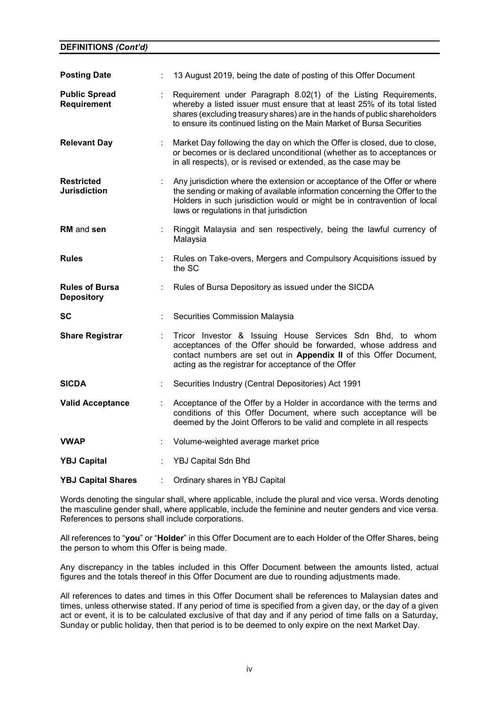| <b>Posting Date</b>                        |   | 13 August 2019, being the date of posting of this Offer Document                                                                                                                                                                                                                                      |
|--------------------------------------------|---|-------------------------------------------------------------------------------------------------------------------------------------------------------------------------------------------------------------------------------------------------------------------------------------------------------|
| <b>Public Spread</b><br><b>Requirement</b> |   | Requirement under Paragraph 8.02(1) of the Listing Requirements,<br>whereby a listed issuer must ensure that at least 25% of its total listed<br>shares (excluding treasury shares) are in the hands of public shareholders<br>to ensure its continued listing on the Main Market of Bursa Securities |
| <b>Relevant Day</b>                        |   | Market Day following the day on which the Offer is closed, due to close,<br>or becomes or is declared unconditional (whether as to acceptances or<br>in all respects), or is revised or extended, as the case may be                                                                                  |
| <b>Restricted</b><br><b>Jurisdiction</b>   |   | Any jurisdiction where the extension or acceptance of the Offer or where<br>the sending or making of available information concerning the Offer to the<br>Holders in such jurisdiction would or might be in contravention of local<br>laws or regulations in that jurisdiction                        |
| <b>RM</b> and sen                          |   | Ringgit Malaysia and sen respectively, being the lawful currency of<br>Malaysia                                                                                                                                                                                                                       |
| <b>Rules</b>                               |   | Rules on Take-overs, Mergers and Compulsory Acquisitions issued by<br>the SC                                                                                                                                                                                                                          |
| <b>Rules of Bursa</b>                      | ÷ | Rules of Bursa Depository as issued under the SICDA                                                                                                                                                                                                                                                   |
| <b>Depository</b>                          |   |                                                                                                                                                                                                                                                                                                       |
| SC                                         |   | Securities Commission Malaysia                                                                                                                                                                                                                                                                        |
| <b>Share Registrar</b>                     |   | Tricor Investor & Issuing House Services Sdn Bhd, to whom<br>acceptances of the Offer should be forwarded, whose address and<br>contact numbers are set out in Appendix II of this Offer Document,<br>acting as the registrar for acceptance of the Offer                                             |
| <b>SICDA</b>                               |   | Securities Industry (Central Depositories) Act 1991                                                                                                                                                                                                                                                   |
| <b>Valid Acceptance</b>                    | ÷ | Acceptance of the Offer by a Holder in accordance with the terms and<br>conditions of this Offer Document, where such acceptance will be<br>deemed by the Joint Offerors to be valid and complete in all respects                                                                                     |
| <b>VWAP</b>                                |   | Volume-weighted average market price                                                                                                                                                                                                                                                                  |
| <b>YBJ Capital</b>                         |   | YBJ Capital Sdn Bhd                                                                                                                                                                                                                                                                                   |

Words denoting the singular shall, where applicable, include the plural and vice versa. Words denoting the masculine gender shall, where applicable, include the feminine and neuter genders and vice versa. References to persons shall include corporations.

All references to "**you**" or "**Holder**" in this Offer Document are to each Holder of the Offer Shares, being the person to whom this Offer is being made.

Any discrepancy in the tables included in this Offer Document between the amounts listed, actual figures and the totals thereof in this Offer Document are due to rounding adjustments made.

All references to dates and times in this Offer Document shall be references to Malaysian dates and times, unless otherwise stated. If any period of time is specified from a given day, or the day of a given act or event, it is to be calculated exclusive of that day and if any period of time falls on a Saturday, Sunday or public holiday, then that period is to be deemed to only expire on the next Market Day.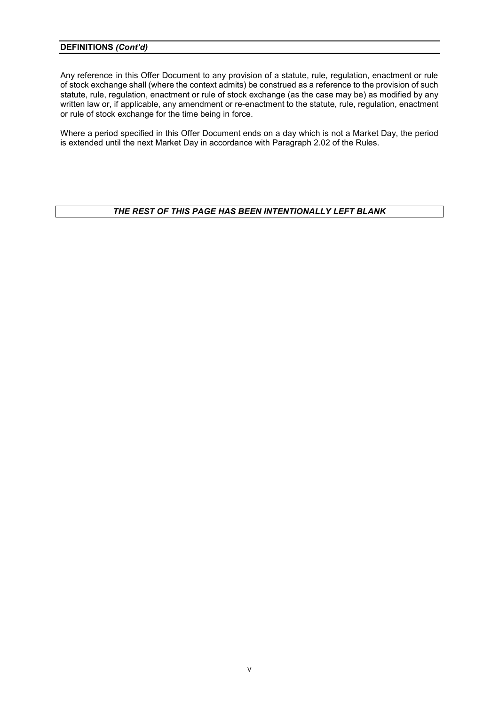Any reference in this Offer Document to any provision of a statute, rule, regulation, enactment or rule of stock exchange shall (where the context admits) be construed as a reference to the provision of such statute, rule, regulation, enactment or rule of stock exchange (as the case may be) as modified by any written law or, if applicable, any amendment or re-enactment to the statute, rule, regulation, enactment or rule of stock exchange for the time being in force.

Where a period specified in this Offer Document ends on a day which is not a Market Day, the period is extended until the next Market Day in accordance with Paragraph 2.02 of the Rules.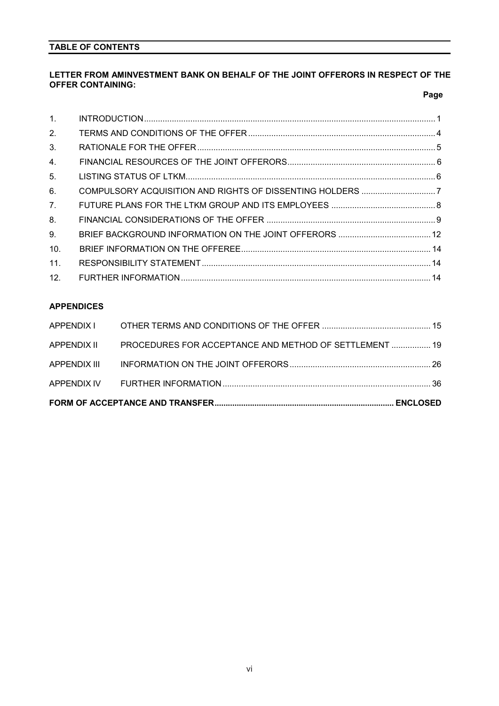## **TABLE OF CONTENTS**

## **LETTER FROM AMINVESTMENT BANK ON BEHALF OF THE JOINT OFFERORS IN RESPECT OF THE OFFER CONTAINING:**

|  | Page |
|--|------|
|  |      |

| $\mathbf{1}$ .  |  |
|-----------------|--|
| 2 <sub>1</sub>  |  |
| 3.              |  |
| 4.              |  |
| 5.              |  |
| 6.              |  |
| 7 <sub>1</sub>  |  |
| 8.              |  |
| 9.              |  |
| 10.             |  |
| 11.             |  |
| 12 <sub>1</sub> |  |

## **APPENDICES**

| APPENDIX III |                                                                    |  |
|--------------|--------------------------------------------------------------------|--|
|              | APPENDIX II PROCEDURES FOR ACCEPTANCE AND METHOD OF SETTLEMENT  19 |  |
|              |                                                                    |  |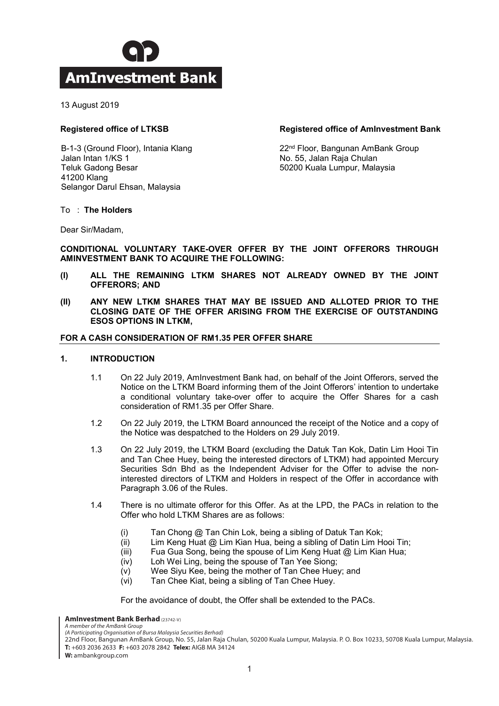

13 August 2019

## **Registered office of LTKSB**

B-1-3 (Ground Floor), Intania Klang Jalan Intan 1/KS 1 Teluk Gadong Besar 41200 Klang Selangor Darul Ehsan, Malaysia

## **Registered office of AmInvestment Bank**

22nd Floor, Bangunan AmBank Group No. 55, Jalan Raja Chulan 50200 Kuala Lumpur, Malaysia

#### To : **The Holders**

Dear Sir/Madam,

## **CONDITIONAL VOLUNTARY TAKE-OVER OFFER BY THE JOINT OFFERORS THROUGH AMINVESTMENT BANK TO ACQUIRE THE FOLLOWING:**

- **(I) ALL THE REMAINING LTKM SHARES NOT ALREADY OWNED BY THE JOINT OFFERORS; AND**
- **(II) ANY NEW LTKM SHARES THAT MAY BE ISSUED AND ALLOTED PRIOR TO THE CLOSING DATE OF THE OFFER ARISING FROM THE EXERCISE OF OUTSTANDING ESOS OPTIONS IN LTKM,**

### **FOR A CASH CONSIDERATION OF RM1.35 PER OFFER SHARE**

#### **1. INTRODUCTION**

- 1.1 On 22 July 2019, AmInvestment Bank had, on behalf of the Joint Offerors, served the Notice on the LTKM Board informing them of the Joint Offerors' intention to undertake a conditional voluntary take-over offer to acquire the Offer Shares for a cash consideration of RM1.35 per Offer Share.
- 1.2 On 22 July 2019, the LTKM Board announced the receipt of the Notice and a copy of the Notice was despatched to the Holders on 29 July 2019.
- 1.3 On 22 July 2019, the LTKM Board (excluding the Datuk Tan Kok, Datin Lim Hooi Tin and Tan Chee Huey, being the interested directors of LTKM) had appointed Mercury Securities Sdn Bhd as the Independent Adviser for the Offer to advise the noninterested directors of LTKM and Holders in respect of the Offer in accordance with Paragraph 3.06 of the Rules.
- 1.4 There is no ultimate offeror for this Offer. As at the LPD, the PACs in relation to the Offer who hold LTKM Shares are as follows:
	- (i) Tan Chong @ Tan Chin Lok, being a sibling of Datuk Tan Kok;
	- (ii) Lim Keng Huat @ Lim Kian Hua, being a sibling of Datin Lim Hooi Tin;
	- (iii) Fua Gua Song, being the spouse of Lim Keng Huat @ Lim Kian Hua;
	- (iv) Loh Wei Ling, being the spouse of Tan Yee Siong;
	- (v) Wee Siyu Kee, being the mother of Tan Chee Huey; and
	- (vi) Tan Chee Kiat, being a sibling of Tan Chee Huey.

For the avoidance of doubt, the Offer shall be extended to the PACs.

**AmInvestment Bank Berhad** (23742-V)

*A member of the AmBank Group (A Participating Organisation of Bursa Malaysia Securities Berhad)*

22nd Floor, Bangunan AmBank Group, No. 55, Jalan Raja Chulan, 50200 Kuala Lumpur, Malaysia. P. O. Box 10233, 50708 Kuala Lumpur, Malaysia. **T:** +603 2036 2633 **F:** +603 2078 2842 **Telex:** AIGB MA 34124

**W:** ambankgroup.com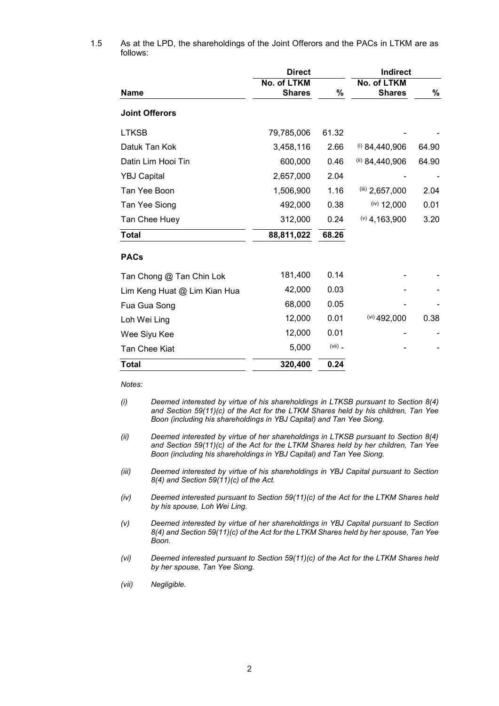|                              | <b>Direct</b>                |           | <b>Indirect</b>              |       |  |
|------------------------------|------------------------------|-----------|------------------------------|-------|--|
| <b>Name</b>                  | No. of LTKM<br><b>Shares</b> | %         | No. of LTKM<br><b>Shares</b> | %     |  |
| <b>Joint Offerors</b>        |                              |           |                              |       |  |
| <b>LTKSB</b>                 | 79,785,006                   | 61.32     |                              |       |  |
| Datuk Tan Kok                | 3,458,116                    | 2.66      | $(i)$ 84,440,906             | 64.90 |  |
| Datin Lim Hooi Tin           | 600,000                      | 0.46      | (ii) 84,440,906              | 64.90 |  |
| <b>YBJ Capital</b>           | 2,657,000                    | 2.04      |                              |       |  |
| Tan Yee Boon                 | 1,506,900                    | 1.16      | $(iii)$ 2,657,000            | 2.04  |  |
| Tan Yee Siong                | 492,000                      | 0.38      | $(iv)$ 12,000                | 0.01  |  |
| Tan Chee Huey                | 312,000                      | 0.24      | $(9)$ 4, 163, 900            | 3.20  |  |
| <b>Total</b>                 | 88,811,022                   | 68.26     |                              |       |  |
| <b>PACs</b>                  |                              |           |                              |       |  |
| Tan Chong @ Tan Chin Lok     | 181,400                      | 0.14      |                              |       |  |
| Lim Keng Huat @ Lim Kian Hua | 42,000                       | 0.03      |                              |       |  |
| Fua Gua Song                 | 68,000                       | 0.05      |                              |       |  |
| Loh Wei Ling                 | 12,000                       | 0.01      | $(vi)$ 492,000               | 0.38  |  |
| Wee Siyu Kee                 | 12,000                       | 0.01      |                              |       |  |
| Tan Chee Kiat                | 5,000                        | $(vii)$ _ |                              |       |  |
| <b>Total</b>                 | 320,400                      | 0.24      |                              |       |  |

1.5 As at the LPD, the shareholdings of the Joint Offerors and the PACs in LTKM are as follows:

*Notes:*

- *(i) Deemed interested by virtue of his shareholdings in LTKSB pursuant to Section 8(4) and Section 59(11)(c) of the Act for the LTKM Shares held by his children, Tan Yee Boon (including his shareholdings in YBJ Capital) and Tan Yee Siong.*
- *(ii) Deemed interested by virtue of her shareholdings in LTKSB pursuant to Section 8(4) and Section 59(11)(c) of the Act for the LTKM Shares held by her children, Tan Yee Boon (including his shareholdings in YBJ Capital) and Tan Yee Siong.*
- *(iii) Deemed interested by virtue of his shareholdings in YBJ Capital pursuant to Section 8(4) and Section 59(11)(c) of the Act.*
- *(iv) Deemed interested pursuant to Section 59(11)(c) of the Act for the LTKM Shares held by his spouse, Loh Wei Ling.*
- *(v) Deemed interested by virtue of her shareholdings in YBJ Capital pursuant to Section 8(4) and Section 59(11)(c) of the Act for the LTKM Shares held by her spouse, Tan Yee Boon.*
- *(vi) Deemed interested pursuant to Section 59(11)(c) of the Act for the LTKM Shares held by her spouse, Tan Yee Siong.*
- *(vii) Negligible.*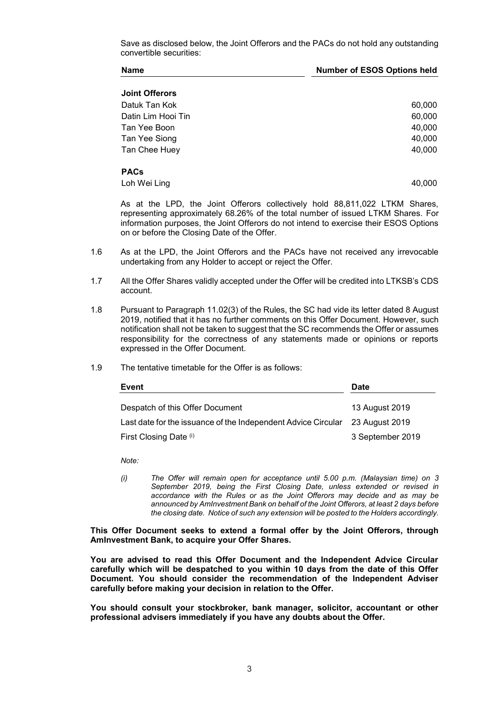Save as disclosed below, the Joint Offerors and the PACs do not hold any outstanding convertible securities:

| <b>Name</b> | <b>Number of ESOS Options held</b> |
|-------------|------------------------------------|
|             |                                    |

|  | <b>Joint Offerors</b> |
|--|-----------------------|
|--|-----------------------|

Datuk Tan Kok 60,000 Datin Lim Hooi Tin 60,000 Tan Yee Boon 40,000 Tan Yee Siong **40,000** Tan Chee Huey 40,000

### **PACs**

Loh Wei Ling 40,000

As at the LPD, the Joint Offerors collectively hold 88,811,022 LTKM Shares, representing approximately 68.26% of the total number of issued LTKM Shares. For information purposes, the Joint Offerors do not intend to exercise their ESOS Options on or before the Closing Date of the Offer.

- 1.6 As at the LPD, the Joint Offerors and the PACs have not received any irrevocable undertaking from any Holder to accept or reject the Offer.
- 1.7 All the Offer Shares validly accepted under the Offer will be credited into LTKSB's CDS account.
- 1.8 Pursuant to Paragraph 11.02(3) of the Rules, the SC had vide its letter dated 8 August 2019, notified that it has no further comments on this Offer Document. However, such notification shall not be taken to suggest that the SC recommends the Offer or assumes responsibility for the correctness of any statements made or opinions or reports expressed in the Offer Document.
- 1.9 The tentative timetable for the Offer is as follows:

| Event                                                         | <b>Date</b>      |  |  |
|---------------------------------------------------------------|------------------|--|--|
| Despatch of this Offer Document                               | 13 August 2019   |  |  |
| Last date for the issuance of the Independent Advice Circular | 23 August 2019   |  |  |
| First Closing Date (i)                                        | 3 September 2019 |  |  |

*Note:*

*(i) The Offer will remain open for acceptance until 5.00 p.m. (Malaysian time) on 3 September 2019, being the First Closing Date, unless extended or revised in accordance with the Rules or as the Joint Offerors may decide and as may be announced by AmInvestment Bank on behalf of the Joint Offerors, at least 2 days before the closing date. Notice of such any extension will be posted to the Holders accordingly.*

**This Offer Document seeks to extend a formal offer by the Joint Offerors, through AmInvestment Bank, to acquire your Offer Shares.** 

**You are advised to read this Offer Document and the Independent Advice Circular carefully which will be despatched to you within 10 days from the date of this Offer Document. You should consider the recommendation of the Independent Adviser carefully before making your decision in relation to the Offer.** 

**You should consult your stockbroker, bank manager, solicitor, accountant or other professional advisers immediately if you have any doubts about the Offer.**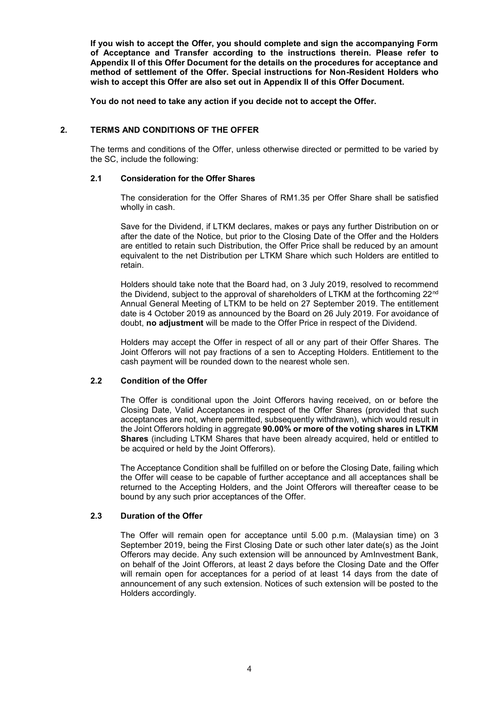**If you wish to accept the Offer, you should complete and sign the accompanying Form of Acceptance and Transfer according to the instructions therein. Please refer to Appendix II of this Offer Document for the details on the procedures for acceptance and method of settlement of the Offer. Special instructions for Non-Resident Holders who wish to accept this Offer are also set out in Appendix II of this Offer Document.**

**You do not need to take any action if you decide not to accept the Offer.**

## **2. TERMS AND CONDITIONS OF THE OFFER**

The terms and conditions of the Offer, unless otherwise directed or permitted to be varied by the SC, include the following:

### **2.1 Consideration for the Offer Shares**

The consideration for the Offer Shares of RM1.35 per Offer Share shall be satisfied wholly in cash.

Save for the Dividend, if LTKM declares, makes or pays any further Distribution on or after the date of the Notice, but prior to the Closing Date of the Offer and the Holders are entitled to retain such Distribution, the Offer Price shall be reduced by an amount equivalent to the net Distribution per LTKM Share which such Holders are entitled to retain.

Holders should take note that the Board had, on 3 July 2019, resolved to recommend the Dividend, subject to the approval of shareholders of LTKM at the forthcoming 22nd Annual General Meeting of LTKM to be held on 27 September 2019. The entitlement date is 4 October 2019 as announced by the Board on 26 July 2019. For avoidance of doubt, **no adjustment** will be made to the Offer Price in respect of the Dividend.

Holders may accept the Offer in respect of all or any part of their Offer Shares. The Joint Offerors will not pay fractions of a sen to Accepting Holders. Entitlement to the cash payment will be rounded down to the nearest whole sen.

## **2.2 Condition of the Offer**

The Offer is conditional upon the Joint Offerors having received, on or before the Closing Date, Valid Acceptances in respect of the Offer Shares (provided that such acceptances are not, where permitted, subsequently withdrawn), which would result in the Joint Offerors holding in aggregate **90.00% or more of the voting shares in LTKM Shares** (including LTKM Shares that have been already acquired, held or entitled to be acquired or held by the Joint Offerors).

The Acceptance Condition shall be fulfilled on or before the Closing Date, failing which the Offer will cease to be capable of further acceptance and all acceptances shall be returned to the Accepting Holders, and the Joint Offerors will thereafter cease to be bound by any such prior acceptances of the Offer.

#### **2.3 Duration of the Offer**

The Offer will remain open for acceptance until 5.00 p.m. (Malaysian time) on 3 September 2019, being the First Closing Date or such other later date(s) as the Joint Offerors may decide. Any such extension will be announced by AmInvestment Bank, on behalf of the Joint Offerors, at least 2 days before the Closing Date and the Offer will remain open for acceptances for a period of at least 14 days from the date of announcement of any such extension. Notices of such extension will be posted to the Holders accordingly.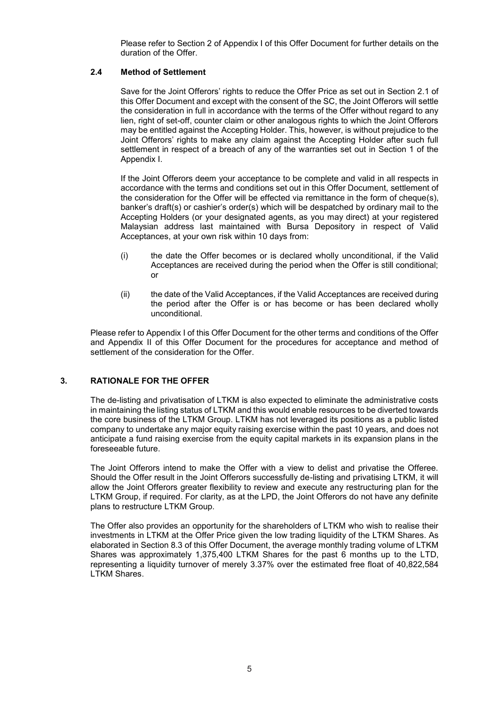Please refer to Section 2 of Appendix I of this Offer Document for further details on the duration of the Offer.

## **2.4 Method of Settlement**

Save for the Joint Offerors' rights to reduce the Offer Price as set out in Section 2.1 of this Offer Document and except with the consent of the SC, the Joint Offerors will settle the consideration in full in accordance with the terms of the Offer without regard to any lien, right of set-off, counter claim or other analogous rights to which the Joint Offerors may be entitled against the Accepting Holder. This, however, is without prejudice to the Joint Offerors' rights to make any claim against the Accepting Holder after such full settlement in respect of a breach of any of the warranties set out in Section 1 of the Appendix I.

If the Joint Offerors deem your acceptance to be complete and valid in all respects in accordance with the terms and conditions set out in this Offer Document, settlement of the consideration for the Offer will be effected via remittance in the form of cheque(s), banker's draft(s) or cashier's order(s) which will be despatched by ordinary mail to the Accepting Holders (or your designated agents, as you may direct) at your registered Malaysian address last maintained with Bursa Depository in respect of Valid Acceptances, at your own risk within 10 days from:

- (i) the date the Offer becomes or is declared wholly unconditional, if the Valid Acceptances are received during the period when the Offer is still conditional; or
- (ii) the date of the Valid Acceptances, if the Valid Acceptances are received during the period after the Offer is or has become or has been declared wholly unconditional.

Please refer to Appendix I of this Offer Document for the other terms and conditions of the Offer and Appendix II of this Offer Document for the procedures for acceptance and method of settlement of the consideration for the Offer.

## **3. RATIONALE FOR THE OFFER**

The de-listing and privatisation of LTKM is also expected to eliminate the administrative costs in maintaining the listing status of LTKM and this would enable resources to be diverted towards the core business of the LTKM Group. LTKM has not leveraged its positions as a public listed company to undertake any major equity raising exercise within the past 10 years, and does not anticipate a fund raising exercise from the equity capital markets in its expansion plans in the foreseeable future.

The Joint Offerors intend to make the Offer with a view to delist and privatise the Offeree. Should the Offer result in the Joint Offerors successfully de-listing and privatising LTKM, it will allow the Joint Offerors greater flexibility to review and execute any restructuring plan for the LTKM Group, if required. For clarity, as at the LPD, the Joint Offerors do not have any definite plans to restructure LTKM Group.

The Offer also provides an opportunity for the shareholders of LTKM who wish to realise their investments in LTKM at the Offer Price given the low trading liquidity of the LTKM Shares. As elaborated in Section 8.3 of this Offer Document, the average monthly trading volume of LTKM Shares was approximately 1,375,400 LTKM Shares for the past 6 months up to the LTD, representing a liquidity turnover of merely 3.37% over the estimated free float of 40,822,584 LTKM Shares.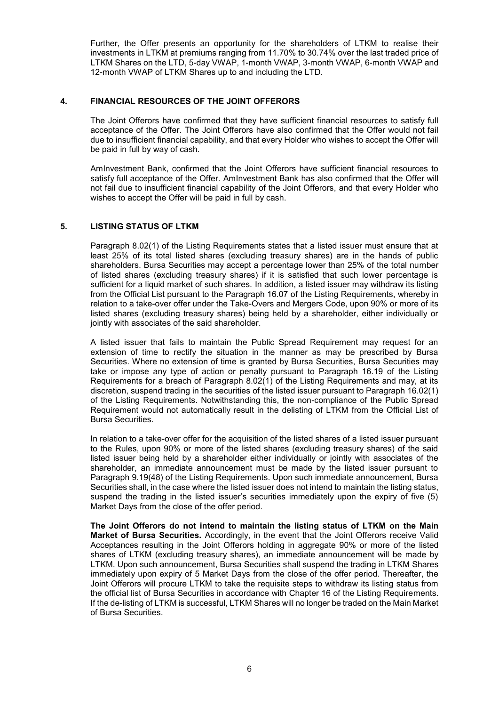Further, the Offer presents an opportunity for the shareholders of LTKM to realise their investments in LTKM at premiums ranging from 11.70% to 30.74% over the last traded price of LTKM Shares on the LTD, 5-day VWAP, 1-month VWAP, 3-month VWAP, 6-month VWAP and 12-month VWAP of LTKM Shares up to and including the LTD.

### **4. FINANCIAL RESOURCES OF THE JOINT OFFERORS**

The Joint Offerors have confirmed that they have sufficient financial resources to satisfy full acceptance of the Offer. The Joint Offerors have also confirmed that the Offer would not fail due to insufficient financial capability, and that every Holder who wishes to accept the Offer will be paid in full by way of cash.

AmInvestment Bank, confirmed that the Joint Offerors have sufficient financial resources to satisfy full acceptance of the Offer. AmInvestment Bank has also confirmed that the Offer will not fail due to insufficient financial capability of the Joint Offerors, and that every Holder who wishes to accept the Offer will be paid in full by cash.

## **5. LISTING STATUS OF LTKM**

Paragraph 8.02(1) of the Listing Requirements states that a listed issuer must ensure that at least 25% of its total listed shares (excluding treasury shares) are in the hands of public shareholders. Bursa Securities may accept a percentage lower than 25% of the total number of listed shares (excluding treasury shares) if it is satisfied that such lower percentage is sufficient for a liquid market of such shares. In addition, a listed issuer may withdraw its listing from the Official List pursuant to the Paragraph 16.07 of the Listing Requirements, whereby in relation to a take-over offer under the Take-Overs and Mergers Code, upon 90% or more of its listed shares (excluding treasury shares) being held by a shareholder, either individually or jointly with associates of the said shareholder.

A listed issuer that fails to maintain the Public Spread Requirement may request for an extension of time to rectify the situation in the manner as may be prescribed by Bursa Securities. Where no extension of time is granted by Bursa Securities, Bursa Securities may take or impose any type of action or penalty pursuant to Paragraph 16.19 of the Listing Requirements for a breach of Paragraph 8.02(1) of the Listing Requirements and may, at its discretion, suspend trading in the securities of the listed issuer pursuant to Paragraph 16.02(1) of the Listing Requirements. Notwithstanding this, the non-compliance of the Public Spread Requirement would not automatically result in the delisting of LTKM from the Official List of Bursa Securities.

In relation to a take-over offer for the acquisition of the listed shares of a listed issuer pursuant to the Rules, upon 90% or more of the listed shares (excluding treasury shares) of the said listed issuer being held by a shareholder either individually or jointly with associates of the shareholder, an immediate announcement must be made by the listed issuer pursuant to Paragraph 9.19(48) of the Listing Requirements. Upon such immediate announcement, Bursa Securities shall, in the case where the listed issuer does not intend to maintain the listing status, suspend the trading in the listed issuer's securities immediately upon the expiry of five (5) Market Days from the close of the offer period.

**The Joint Offerors do not intend to maintain the listing status of LTKM on the Main Market of Bursa Securities.** Accordingly, in the event that the Joint Offerors receive Valid Acceptances resulting in the Joint Offerors holding in aggregate 90% or more of the listed shares of LTKM (excluding treasury shares), an immediate announcement will be made by LTKM. Upon such announcement, Bursa Securities shall suspend the trading in LTKM Shares immediately upon expiry of 5 Market Days from the close of the offer period. Thereafter, the Joint Offerors will procure LTKM to take the requisite steps to withdraw its listing status from the official list of Bursa Securities in accordance with Chapter 16 of the Listing Requirements. If the de-listing of LTKM is successful, LTKM Shares will no longer be traded on the Main Market of Bursa Securities.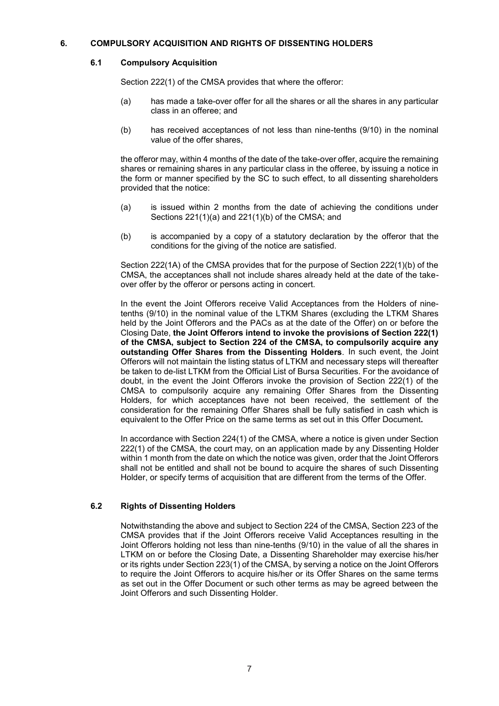## **6. COMPULSORY ACQUISITION AND RIGHTS OF DISSENTING HOLDERS**

## **6.1 Compulsory Acquisition**

Section 222(1) of the CMSA provides that where the offeror:

- (a) has made a take-over offer for all the shares or all the shares in any particular class in an offeree; and
- (b) has received acceptances of not less than nine-tenths (9/10) in the nominal value of the offer shares,

the offeror may, within 4 months of the date of the take-over offer, acquire the remaining shares or remaining shares in any particular class in the offeree, by issuing a notice in the form or manner specified by the SC to such effect, to all dissenting shareholders provided that the notice:

- (a) is issued within 2 months from the date of achieving the conditions under Sections 221(1)(a) and 221(1)(b) of the CMSA; and
- (b) is accompanied by a copy of a statutory declaration by the offeror that the conditions for the giving of the notice are satisfied.

Section 222(1A) of the CMSA provides that for the purpose of Section 222(1)(b) of the CMSA, the acceptances shall not include shares already held at the date of the takeover offer by the offeror or persons acting in concert.

In the event the Joint Offerors receive Valid Acceptances from the Holders of ninetenths (9/10) in the nominal value of the LTKM Shares (excluding the LTKM Shares held by the Joint Offerors and the PACs as at the date of the Offer) on or before the Closing Date, **the Joint Offerors intend to invoke the provisions of Section 222(1) of the CMSA, subject to Section 224 of the CMSA, to compulsorily acquire any outstanding Offer Shares from the Dissenting Holders**. In such event, the Joint Offerors will not maintain the listing status of LTKM and necessary steps will thereafter be taken to de-list LTKM from the Official List of Bursa Securities. For the avoidance of doubt, in the event the Joint Offerors invoke the provision of Section 222(1) of the CMSA to compulsorily acquire any remaining Offer Shares from the Dissenting Holders, for which acceptances have not been received, the settlement of the consideration for the remaining Offer Shares shall be fully satisfied in cash which is equivalent to the Offer Price on the same terms as set out in this Offer Document**.**

In accordance with Section 224(1) of the CMSA, where a notice is given under Section 222(1) of the CMSA, the court may, on an application made by any Dissenting Holder within 1 month from the date on which the notice was given, order that the Joint Offerors shall not be entitled and shall not be bound to acquire the shares of such Dissenting Holder, or specify terms of acquisition that are different from the terms of the Offer.

## **6.2 Rights of Dissenting Holders**

Notwithstanding the above and subject to Section 224 of the CMSA, Section 223 of the CMSA provides that if the Joint Offerors receive Valid Acceptances resulting in the Joint Offerors holding not less than nine-tenths (9/10) in the value of all the shares in LTKM on or before the Closing Date, a Dissenting Shareholder may exercise his/her or its rights under Section 223(1) of the CMSA, by serving a notice on the Joint Offerors to require the Joint Offerors to acquire his/her or its Offer Shares on the same terms as set out in the Offer Document or such other terms as may be agreed between the Joint Offerors and such Dissenting Holder.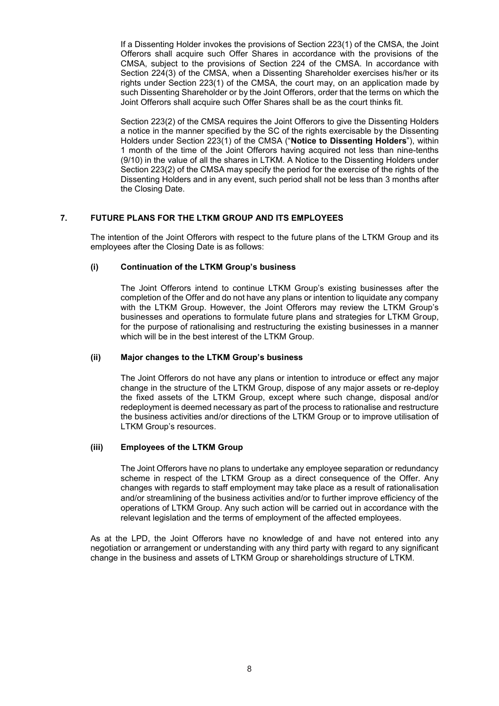If a Dissenting Holder invokes the provisions of Section 223(1) of the CMSA, the Joint Offerors shall acquire such Offer Shares in accordance with the provisions of the CMSA, subject to the provisions of Section 224 of the CMSA. In accordance with Section 224(3) of the CMSA, when a Dissenting Shareholder exercises his/her or its rights under Section 223(1) of the CMSA, the court may, on an application made by such Dissenting Shareholder or by the Joint Offerors, order that the terms on which the Joint Offerors shall acquire such Offer Shares shall be as the court thinks fit.

Section 223(2) of the CMSA requires the Joint Offerors to give the Dissenting Holders a notice in the manner specified by the SC of the rights exercisable by the Dissenting Holders under Section 223(1) of the CMSA ("**Notice to Dissenting Holders**"), within 1 month of the time of the Joint Offerors having acquired not less than nine-tenths (9/10) in the value of all the shares in LTKM. A Notice to the Dissenting Holders under Section 223(2) of the CMSA may specify the period for the exercise of the rights of the Dissenting Holders and in any event, such period shall not be less than 3 months after the Closing Date.

## **7. FUTURE PLANS FOR THE LTKM GROUP AND ITS EMPLOYEES**

The intention of the Joint Offerors with respect to the future plans of the LTKM Group and its employees after the Closing Date is as follows:

#### **(i) Continuation of the LTKM Group's business**

The Joint Offerors intend to continue LTKM Group's existing businesses after the completion of the Offer and do not have any plans or intention to liquidate any company with the LTKM Group. However, the Joint Offerors may review the LTKM Group's businesses and operations to formulate future plans and strategies for LTKM Group, for the purpose of rationalising and restructuring the existing businesses in a manner which will be in the best interest of the LTKM Group.

#### **(ii) Major changes to the LTKM Group's business**

The Joint Offerors do not have any plans or intention to introduce or effect any major change in the structure of the LTKM Group, dispose of any major assets or re-deploy the fixed assets of the LTKM Group, except where such change, disposal and/or redeployment is deemed necessary as part of the process to rationalise and restructure the business activities and/or directions of the LTKM Group or to improve utilisation of LTKM Group's resources.

#### **(iii) Employees of the LTKM Group**

The Joint Offerors have no plans to undertake any employee separation or redundancy scheme in respect of the LTKM Group as a direct consequence of the Offer. Any changes with regards to staff employment may take place as a result of rationalisation and/or streamlining of the business activities and/or to further improve efficiency of the operations of LTKM Group. Any such action will be carried out in accordance with the relevant legislation and the terms of employment of the affected employees.

As at the LPD, the Joint Offerors have no knowledge of and have not entered into any negotiation or arrangement or understanding with any third party with regard to any significant change in the business and assets of LTKM Group or shareholdings structure of LTKM.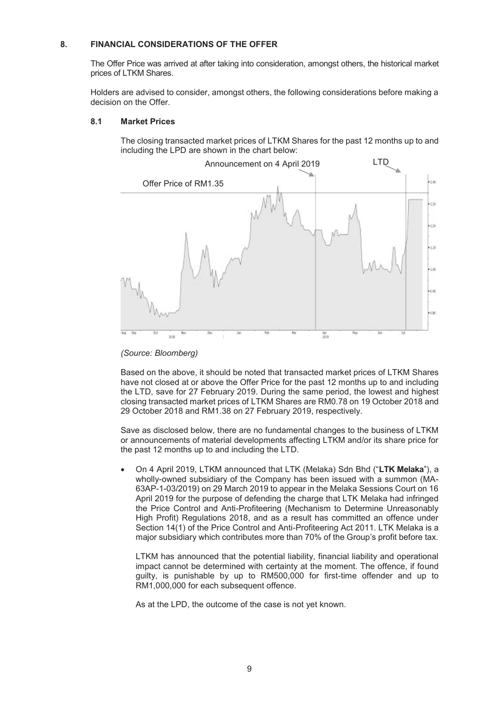#### **8. FINANCIAL CONSIDERATIONS OF THE OFFER**

The Offer Price was arrived at after taking into consideration, amongst others, the historical market prices of LTKM Shares.

Holders are advised to consider, amongst others, the following considerations before making a decision on the Offer.

#### **8.1 Market Prices**

The closing transacted market prices of LTKM Shares for the past 12 months up to and including the LPD are shown in the chart below:



*(Source: Bloomberg)*

Based on the above, it should be noted that transacted market prices of LTKM Shares have not closed at or above the Offer Price for the past 12 months up to and including the LTD, save for 27 February 2019. During the same period, the lowest and highest closing transacted market prices of LTKM Shares are RM0.78 on 19 October 2018 and 29 October 2018 and RM1.38 on 27 February 2019, respectively.

Save as disclosed below, there are no fundamental changes to the business of LTKM or announcements of material developments affecting LTKM and/or its share price for the past 12 months up to and including the LTD.

 On 4 April 2019, LTKM announced that LTK (Melaka) Sdn Bhd ("**LTK Melaka**"), a wholly-owned subsidiary of the Company has been issued with a summon (MA-63AP-1-03/2019) on 29 March 2019 to appear in the Melaka Sessions Court on 16 April 2019 for the purpose of defending the charge that LTK Melaka had infringed the Price Control and Anti-Profiteering (Mechanism to Determine Unreasonably High Profit) Regulations 2018, and as a result has committed an offence under Section 14(1) of the Price Control and Anti-Profiteering Act 2011. LTK Melaka is a major subsidiary which contributes more than 70% of the Group's profit before tax.

LTKM has announced that the potential liability, financial liability and operational impact cannot be determined with certainty at the moment. The offence, if found guilty, is punishable by up to RM500,000 for first-time offender and up to RM1,000,000 for each subsequent offence.

As at the LPD, the outcome of the case is not yet known.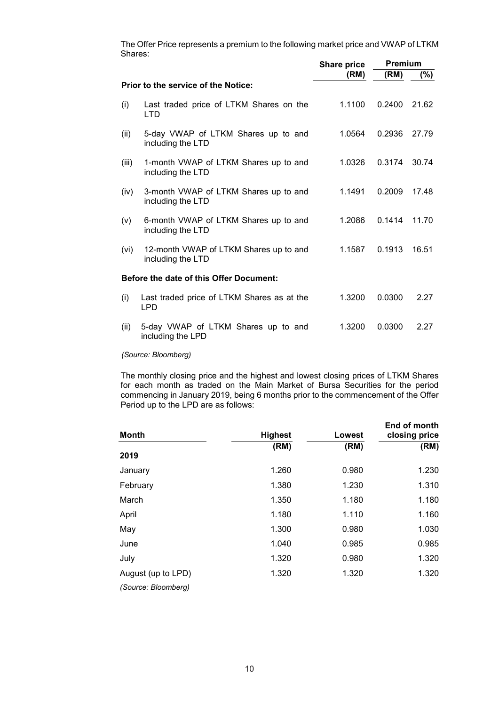The Offer Price represents a premium to the following market price and VWAP of LTKM Shares:

|       |                                                             | <b>Share price</b> | <b>Premium</b> |        |  |
|-------|-------------------------------------------------------------|--------------------|----------------|--------|--|
|       |                                                             | (RM)               | (RM)           | $(\%)$ |  |
|       | <b>Prior to the service of the Notice:</b>                  |                    |                |        |  |
| (i)   | Last traded price of LTKM Shares on the<br><b>LTD</b>       | 1.1100             | 0.2400         | 21.62  |  |
| (ii)  | 5-day VWAP of LTKM Shares up to and<br>including the LTD    | 1.0564             | 0.2936         | 27.79  |  |
| (iii) | 1-month VWAP of LTKM Shares up to and<br>including the LTD  | 1.0326             | 0.3174         | 30.74  |  |
| (iv)  | 3-month VWAP of LTKM Shares up to and<br>including the LTD  | 1.1491             | 0.2009         | 17.48  |  |
| (v)   | 6-month VWAP of LTKM Shares up to and<br>including the LTD  | 1.2086             | 0.1414         | 11.70  |  |
| (vi)  | 12-month VWAP of LTKM Shares up to and<br>including the LTD | 1.1587             | 0.1913         | 16.51  |  |
|       | <b>Before the date of this Offer Document:</b>              |                    |                |        |  |
| (i)   | Last traded price of LTKM Shares as at the<br><b>LPD</b>    | 1.3200             | 0.0300         | 2.27   |  |
| (ii)  | 5-day VWAP of LTKM Shares up to and<br>including the LPD    | 1.3200             | 0.0300         | 2.27   |  |

*(Source: Bloomberg)*

The monthly closing price and the highest and lowest closing prices of LTKM Shares for each month as traded on the Main Market of Bursa Securities for the period commencing in January 2019, being 6 months prior to the commencement of the Offer Period up to the LPD are as follows:

| <b>Month</b>        | <b>Highest</b> | Lowest | End of month<br>closing price |
|---------------------|----------------|--------|-------------------------------|
|                     | (RM)           | (RM)   | (RM)                          |
| 2019                |                |        |                               |
| January             | 1.260          | 0.980  | 1.230                         |
| February            | 1.380          | 1.230  | 1.310                         |
| March               | 1.350          | 1.180  | 1.180                         |
| April               | 1.180          | 1.110  | 1.160                         |
| May                 | 1.300          | 0.980  | 1.030                         |
| June                | 1.040          | 0.985  | 0.985                         |
| July                | 1.320          | 0.980  | 1.320                         |
| August (up to LPD)  | 1.320          | 1.320  | 1.320                         |
| (Source: Bloomberg) |                |        |                               |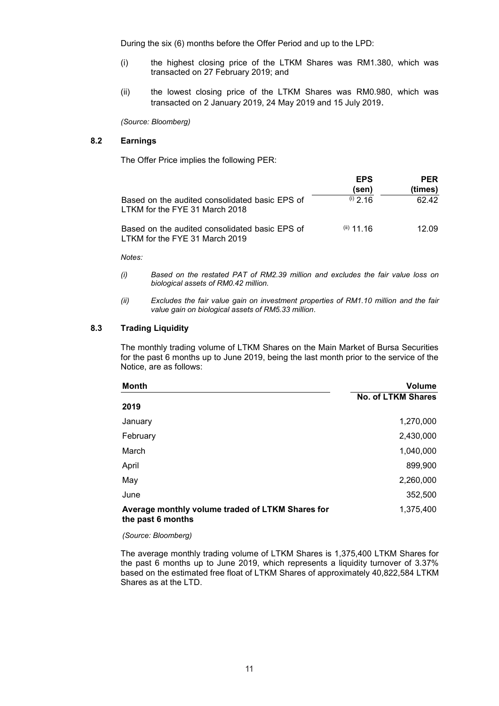During the six (6) months before the Offer Period and up to the LPD:

- (i) the highest closing price of the LTKM Shares was RM1.380, which was transacted on 27 February 2019; and
- (ii) the lowest closing price of the LTKM Shares was RM0.980, which was transacted on 2 January 2019, 24 May 2019 and 15 July 2019.

*(Source: Bloomberg)*

## **8.2 Earnings**

The Offer Price implies the following PER:

|                                                                                  | <b>EPS</b><br>(sen) | <b>PER</b><br>(times) |
|----------------------------------------------------------------------------------|---------------------|-----------------------|
| Based on the audited consolidated basic EPS of<br>LTKM for the FYE 31 March 2018 | $(i)$ 2 16          | 62.42                 |
| Based on the audited consolidated basic EPS of<br>LTKM for the FYE 31 March 2019 | $(i)$ 11.16         | 12.09                 |

*Notes:*

- *(i) Based on the restated PAT of RM2.39 million and excludes the fair value loss on biological assets of RM0.42 million.*
- *(ii) Excludes the fair value gain on investment properties of RM1.10 million and the fair value gain on biological assets of RM5.33 million.*

## **8.3 Trading Liquidity**

The monthly trading volume of LTKM Shares on the Main Market of Bursa Securities for the past 6 months up to June 2019, being the last month prior to the service of the Notice, are as follows:

| Month                                                                 | <b>Volume</b>             |
|-----------------------------------------------------------------------|---------------------------|
|                                                                       | <b>No. of LTKM Shares</b> |
| 2019                                                                  |                           |
| January                                                               | 1,270,000                 |
| February                                                              | 2,430,000                 |
| March                                                                 | 1,040,000                 |
| April                                                                 | 899,900                   |
| May                                                                   | 2,260,000                 |
| June                                                                  | 352,500                   |
| Average monthly volume traded of LTKM Shares for<br>the past 6 months | 1,375,400                 |

*(Source: Bloomberg)*

The average monthly trading volume of LTKM Shares is 1,375,400 LTKM Shares for the past 6 months up to June 2019, which represents a liquidity turnover of 3.37% based on the estimated free float of LTKM Shares of approximately 40,822,584 LTKM Shares as at the LTD.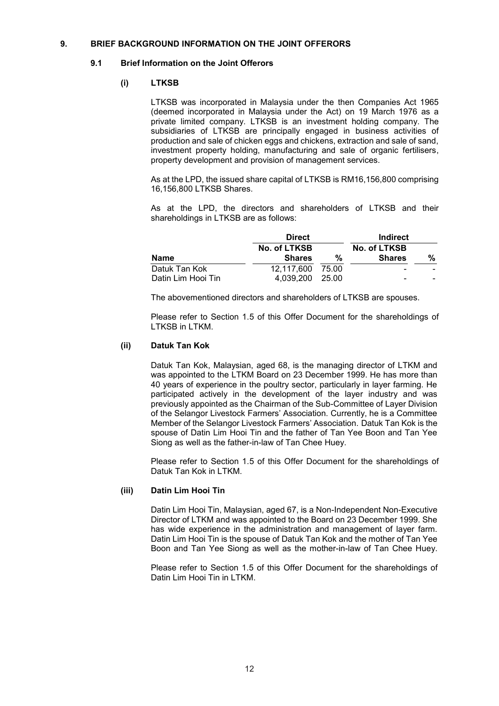#### **9. BRIEF BACKGROUND INFORMATION ON THE JOINT OFFERORS**

### **9.1 Brief Information on the Joint Offerors**

## **(i) LTKSB**

LTKSB was incorporated in Malaysia under the then Companies Act 1965 (deemed incorporated in Malaysia under the Act) on 19 March 1976 as a private limited company. LTKSB is an investment holding company. The subsidiaries of LTKSB are principally engaged in business activities of production and sale of chicken eggs and chickens, extraction and sale of sand, investment property holding, manufacturing and sale of organic fertilisers, property development and provision of management services.

As at the LPD, the issued share capital of LTKSB is RM16,156,800 comprising 16,156,800 LTKSB Shares.

As at the LPD, the directors and shareholders of LTKSB and their shareholdings in LTKSB are as follows:

|                    | <b>Direct</b>    |   | Indirect      |                          |
|--------------------|------------------|---|---------------|--------------------------|
|                    | No. of LTKSB     |   | No. of LTKSB  |                          |
| Name               | <b>Shares</b>    | % | <b>Shares</b> | %                        |
| Datuk Tan Kok      | 12.117.600 75.00 |   | -             | -                        |
| Datin Lim Hooi Tin | 4,039,200 25.00  |   | -             | $\overline{\phantom{0}}$ |

The abovementioned directors and shareholders of LTKSB are spouses.

Please refer to Section 1.5 of this Offer Document for the shareholdings of LTKSB in LTKM.

#### **(ii) Datuk Tan Kok**

Datuk Tan Kok, Malaysian, aged 68, is the managing director of LTKM and was appointed to the LTKM Board on 23 December 1999. He has more than 40 years of experience in the poultry sector, particularly in layer farming. He participated actively in the development of the layer industry and was previously appointed as the Chairman of the Sub-Committee of Layer Division of the Selangor Livestock Farmers' Association. Currently, he is a Committee Member of the Selangor Livestock Farmers' Association. Datuk Tan Kok is the spouse of Datin Lim Hooi Tin and the father of Tan Yee Boon and Tan Yee Siong as well as the father-in-law of Tan Chee Huey.

Please refer to Section 1.5 of this Offer Document for the shareholdings of Datuk Tan Kok in LTKM.

## **(iii) Datin Lim Hooi Tin**

Datin Lim Hooi Tin, Malaysian, aged 67, is a Non-Independent Non-Executive Director of LTKM and was appointed to the Board on 23 December 1999. She has wide experience in the administration and management of layer farm. Datin Lim Hooi Tin is the spouse of Datuk Tan Kok and the mother of Tan Yee Boon and Tan Yee Siong as well as the mother-in-law of Tan Chee Huey.

Please refer to Section 1.5 of this Offer Document for the shareholdings of Datin Lim Hooi Tin in LTKM.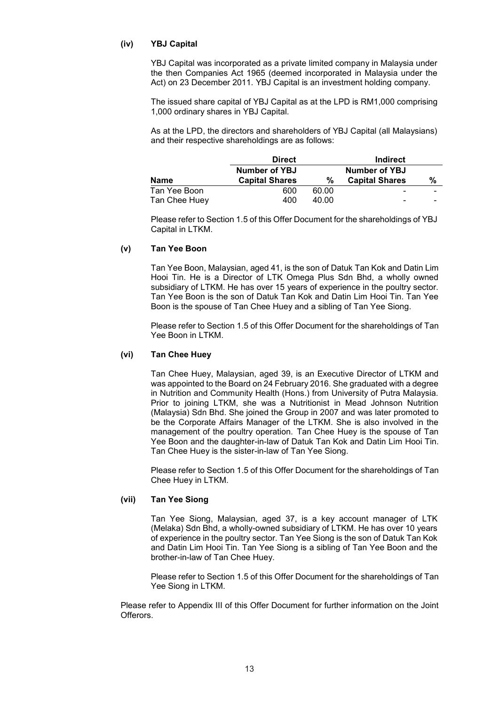## **(iv) YBJ Capital**

YBJ Capital was incorporated as a private limited company in Malaysia under the then Companies Act 1965 (deemed incorporated in Malaysia under the Act) on 23 December 2011. YBJ Capital is an investment holding company.

The issued share capital of YBJ Capital as at the LPD is RM1,000 comprising 1,000 ordinary shares in YBJ Capital.

As at the LPD, the directors and shareholders of YBJ Capital (all Malaysians) and their respective shareholdings are as follows:

|               | <b>Direct</b>         |       | Indirect              |                          |
|---------------|-----------------------|-------|-----------------------|--------------------------|
|               | Number of YBJ         |       | Number of YBJ         |                          |
| <b>Name</b>   | <b>Capital Shares</b> | %     | <b>Capital Shares</b> | %                        |
| Tan Yee Boon  | 600                   | 60.00 | -                     | $\overline{\phantom{0}}$ |
| Tan Chee Huey | 400                   | 40.00 |                       | $\overline{\phantom{0}}$ |

Please refer to Section 1.5 of this Offer Document for the shareholdings of YBJ Capital in LTKM.

#### **(v) Tan Yee Boon**

Tan Yee Boon, Malaysian, aged 41, is the son of Datuk Tan Kok and Datin Lim Hooi Tin. He is a Director of LTK Omega Plus Sdn Bhd, a wholly owned subsidiary of LTKM. He has over 15 years of experience in the poultry sector. Tan Yee Boon is the son of Datuk Tan Kok and Datin Lim Hooi Tin. Tan Yee Boon is the spouse of Tan Chee Huey and a sibling of Tan Yee Siong.

Please refer to Section 1.5 of this Offer Document for the shareholdings of Tan Yee Boon in LTKM.

#### **(vi) Tan Chee Huey**

Tan Chee Huey, Malaysian, aged 39, is an Executive Director of LTKM and was appointed to the Board on 24 February 2016. She graduated with a degree in Nutrition and Community Health (Hons.) from University of Putra Malaysia. Prior to joining LTKM, she was a Nutritionist in Mead Johnson Nutrition (Malaysia) Sdn Bhd. She joined the Group in 2007 and was later promoted to be the Corporate Affairs Manager of the LTKM. She is also involved in the management of the poultry operation. Tan Chee Huey is the spouse of Tan Yee Boon and the daughter-in-law of Datuk Tan Kok and Datin Lim Hooi Tin. Tan Chee Huey is the sister-in-law of Tan Yee Siong.

Please refer to Section 1.5 of this Offer Document for the shareholdings of Tan Chee Huey in LTKM.

#### **(vii) Tan Yee Siong**

Tan Yee Siong, Malaysian, aged 37, is a key account manager of LTK (Melaka) Sdn Bhd, a wholly-owned subsidiary of LTKM. He has over 10 years of experience in the poultry sector. Tan Yee Siong is the son of Datuk Tan Kok and Datin Lim Hooi Tin. Tan Yee Siong is a sibling of Tan Yee Boon and the brother-in-law of Tan Chee Huey.

Please refer to Section 1.5 of this Offer Document for the shareholdings of Tan Yee Siong in LTKM.

Please refer to Appendix III of this Offer Document for further information on the Joint **Offerors**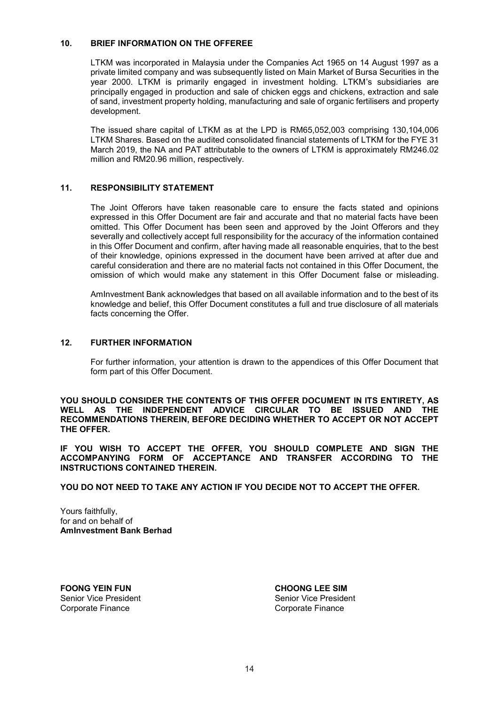### **10. BRIEF INFORMATION ON THE OFFEREE**

LTKM was incorporated in Malaysia under the Companies Act 1965 on 14 August 1997 as a private limited company and was subsequently listed on Main Market of Bursa Securities in the year 2000. LTKM is primarily engaged in investment holding. LTKM's subsidiaries are principally engaged in production and sale of chicken eggs and chickens, extraction and sale of sand, investment property holding, manufacturing and sale of organic fertilisers and property development.

The issued share capital of LTKM as at the LPD is RM65,052,003 comprising 130,104,006 LTKM Shares. Based on the audited consolidated financial statements of LTKM for the FYE 31 March 2019, the NA and PAT attributable to the owners of LTKM is approximately RM246.02 million and RM20.96 million, respectively.

## **11. RESPONSIBILITY STATEMENT**

The Joint Offerors have taken reasonable care to ensure the facts stated and opinions expressed in this Offer Document are fair and accurate and that no material facts have been omitted. This Offer Document has been seen and approved by the Joint Offerors and they severally and collectively accept full responsibility for the accuracy of the information contained in this Offer Document and confirm, after having made all reasonable enquiries, that to the best of their knowledge, opinions expressed in the document have been arrived at after due and careful consideration and there are no material facts not contained in this Offer Document, the omission of which would make any statement in this Offer Document false or misleading.

AmInvestment Bank acknowledges that based on all available information and to the best of its knowledge and belief, this Offer Document constitutes a full and true disclosure of all materials facts concerning the Offer.

#### **12. FURTHER INFORMATION**

For further information, your attention is drawn to the appendices of this Offer Document that form part of this Offer Document.

**YOU SHOULD CONSIDER THE CONTENTS OF THIS OFFER DOCUMENT IN ITS ENTIRETY, AS**  WELL AS THE INDEPENDENT ADVICE CIRCULAR TO BE ISSUED AND **RECOMMENDATIONS THEREIN, BEFORE DECIDING WHETHER TO ACCEPT OR NOT ACCEPT THE OFFER.**

**IF YOU WISH TO ACCEPT THE OFFER, YOU SHOULD COMPLETE AND SIGN THE ACCOMPANYING FORM OF ACCEPTANCE AND TRANSFER ACCORDING TO THE INSTRUCTIONS CONTAINED THEREIN.**

**YOU DO NOT NEED TO TAKE ANY ACTION IF YOU DECIDE NOT TO ACCEPT THE OFFER.**

Yours faithfully, for and on behalf of **AmInvestment Bank Berhad**

**FOONG YEIN FUN**<br>
Senior Vice President<br>
Senior Vice President<br>
Senior Vice President Corporate Finance Corporate Finance

Senior Vice President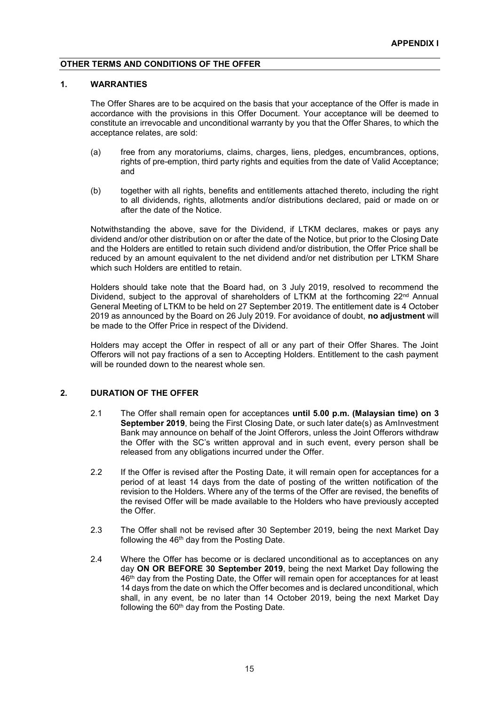### **OTHER TERMS AND CONDITIONS OF THE OFFER**

#### **1. WARRANTIES**

The Offer Shares are to be acquired on the basis that your acceptance of the Offer is made in accordance with the provisions in this Offer Document. Your acceptance will be deemed to constitute an irrevocable and unconditional warranty by you that the Offer Shares, to which the acceptance relates, are sold:

- (a) free from any moratoriums, claims, charges, liens, pledges, encumbrances, options, rights of pre-emption, third party rights and equities from the date of Valid Acceptance; and
- (b) together with all rights, benefits and entitlements attached thereto, including the right to all dividends, rights, allotments and/or distributions declared, paid or made on or after the date of the Notice.

Notwithstanding the above, save for the Dividend, if LTKM declares, makes or pays any dividend and/or other distribution on or after the date of the Notice, but prior to the Closing Date and the Holders are entitled to retain such dividend and/or distribution, the Offer Price shall be reduced by an amount equivalent to the net dividend and/or net distribution per LTKM Share which such Holders are entitled to retain.

Holders should take note that the Board had, on 3 July 2019, resolved to recommend the Dividend, subject to the approval of shareholders of LTKM at the forthcoming  $22^{nd}$  Annual General Meeting of LTKM to be held on 27 September 2019. The entitlement date is 4 October 2019 as announced by the Board on 26 July 2019. For avoidance of doubt, **no adjustment** will be made to the Offer Price in respect of the Dividend.

Holders may accept the Offer in respect of all or any part of their Offer Shares. The Joint Offerors will not pay fractions of a sen to Accepting Holders. Entitlement to the cash payment will be rounded down to the nearest whole sen.

#### **2. DURATION OF THE OFFER**

- 2.1 The Offer shall remain open for acceptances **until 5.00 p.m. (Malaysian time) on 3 September 2019**, being the First Closing Date, or such later date(s) as AmInvestment Bank may announce on behalf of the Joint Offerors, unless the Joint Offerors withdraw the Offer with the SC's written approval and in such event, every person shall be released from any obligations incurred under the Offer.
- 2.2 If the Offer is revised after the Posting Date, it will remain open for acceptances for a period of at least 14 days from the date of posting of the written notification of the revision to the Holders. Where any of the terms of the Offer are revised, the benefits of the revised Offer will be made available to the Holders who have previously accepted the Offer.
- 2.3 The Offer shall not be revised after 30 September 2019, being the next Market Day following the 46<sup>th</sup> day from the Posting Date.
- 2.4 Where the Offer has become or is declared unconditional as to acceptances on any day **ON OR BEFORE 30 September 2019**, being the next Market Day following the 46th day from the Posting Date, the Offer will remain open for acceptances for at least 14 days from the date on which the Offer becomes and is declared unconditional, which shall, in any event, be no later than 14 October 2019, being the next Market Day following the 60<sup>th</sup> day from the Posting Date.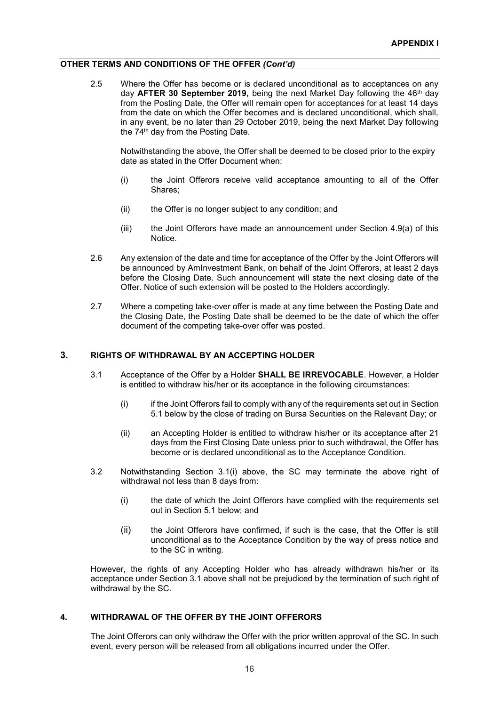#### **OTHER TERMS AND CONDITIONS OF THE OFFER** *(Cont'd)*

2.5 Where the Offer has become or is declared unconditional as to acceptances on any day AFTER 30 September 2019, being the next Market Day following the 46<sup>th</sup> day from the Posting Date, the Offer will remain open for acceptances for at least 14 days from the date on which the Offer becomes and is declared unconditional, which shall, in any event, be no later than 29 October 2019, being the next Market Day following the 74<sup>th</sup> day from the Posting Date.

Notwithstanding the above, the Offer shall be deemed to be closed prior to the expiry date as stated in the Offer Document when:

- (i) the Joint Offerors receive valid acceptance amounting to all of the Offer Shares;
- (ii) the Offer is no longer subject to any condition; and
- (iii) the Joint Offerors have made an announcement under Section 4.9(a) of this Notice.
- 2.6 Any extension of the date and time for acceptance of the Offer by the Joint Offerors will be announced by AmInvestment Bank, on behalf of the Joint Offerors, at least 2 days before the Closing Date. Such announcement will state the next closing date of the Offer. Notice of such extension will be posted to the Holders accordingly.
- 2.7 Where a competing take-over offer is made at any time between the Posting Date and the Closing Date, the Posting Date shall be deemed to be the date of which the offer document of the competing take-over offer was posted.

## **3. RIGHTS OF WITHDRAWAL BY AN ACCEPTING HOLDER**

- 3.1 Acceptance of the Offer by a Holder **SHALL BE IRREVOCABLE**. However, a Holder is entitled to withdraw his/her or its acceptance in the following circumstances:
	- (i) if the Joint Offerors fail to comply with any of the requirements set out in Section 5.1 below by the close of trading on Bursa Securities on the Relevant Day; or
	- (ii) an Accepting Holder is entitled to withdraw his/her or its acceptance after 21 days from the First Closing Date unless prior to such withdrawal, the Offer has become or is declared unconditional as to the Acceptance Condition.
- 3.2 Notwithstanding Section 3.1(i) above, the SC may terminate the above right of withdrawal not less than 8 days from:
	- (i) the date of which the Joint Offerors have complied with the requirements set out in Section 5.1 below; and
	- (ii) the Joint Offerors have confirmed, if such is the case, that the Offer is still unconditional as to the Acceptance Condition by the way of press notice and to the SC in writing.

However, the rights of any Accepting Holder who has already withdrawn his/her or its acceptance under Section 3.1 above shall not be prejudiced by the termination of such right of withdrawal by the SC.

#### **4. WITHDRAWAL OF THE OFFER BY THE JOINT OFFERORS**

The Joint Offerors can only withdraw the Offer with the prior written approval of the SC. In such event, every person will be released from all obligations incurred under the Offer.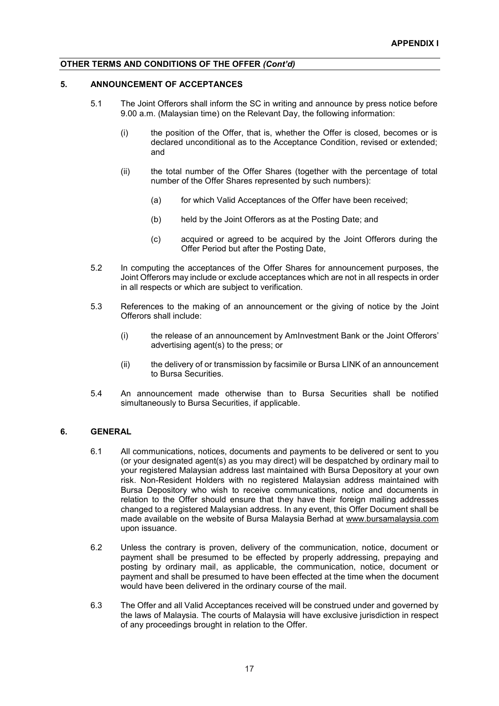## **OTHER TERMS AND CONDITIONS OF THE OFFER** *(Cont'd)*

## **5. ANNOUNCEMENT OF ACCEPTANCES**

- 5.1 The Joint Offerors shall inform the SC in writing and announce by press notice before 9.00 a.m. (Malaysian time) on the Relevant Day, the following information:
	- (i) the position of the Offer, that is, whether the Offer is closed, becomes or is declared unconditional as to the Acceptance Condition, revised or extended; and
	- (ii) the total number of the Offer Shares (together with the percentage of total number of the Offer Shares represented by such numbers):
		- (a) for which Valid Acceptances of the Offer have been received:
		- (b) held by the Joint Offerors as at the Posting Date; and
		- (c) acquired or agreed to be acquired by the Joint Offerors during the Offer Period but after the Posting Date,
- 5.2 In computing the acceptances of the Offer Shares for announcement purposes, the Joint Offerors may include or exclude acceptances which are not in all respects in order in all respects or which are subject to verification.
- 5.3 References to the making of an announcement or the giving of notice by the Joint Offerors shall include:
	- (i) the release of an announcement by AmInvestment Bank or the Joint Offerors' advertising agent(s) to the press; or
	- (ii) the delivery of or transmission by facsimile or Bursa LINK of an announcement to Bursa Securities.
- 5.4 An announcement made otherwise than to Bursa Securities shall be notified simultaneously to Bursa Securities, if applicable.

#### **6. GENERAL**

- 6.1 All communications, notices, documents and payments to be delivered or sent to you (or your designated agent(s) as you may direct) will be despatched by ordinary mail to your registered Malaysian address last maintained with Bursa Depository at your own risk. Non-Resident Holders with no registered Malaysian address maintained with Bursa Depository who wish to receive communications, notice and documents in relation to the Offer should ensure that they have their foreign mailing addresses changed to a registered Malaysian address. In any event, this Offer Document shall be made available on the website of Bursa Malaysia Berhad at www.bursamalaysia.com upon issuance.
- 6.2 Unless the contrary is proven, delivery of the communication, notice, document or payment shall be presumed to be effected by properly addressing, prepaying and posting by ordinary mail, as applicable, the communication, notice, document or payment and shall be presumed to have been effected at the time when the document would have been delivered in the ordinary course of the mail.
- 6.3 The Offer and all Valid Acceptances received will be construed under and governed by the laws of Malaysia. The courts of Malaysia will have exclusive jurisdiction in respect of any proceedings brought in relation to the Offer.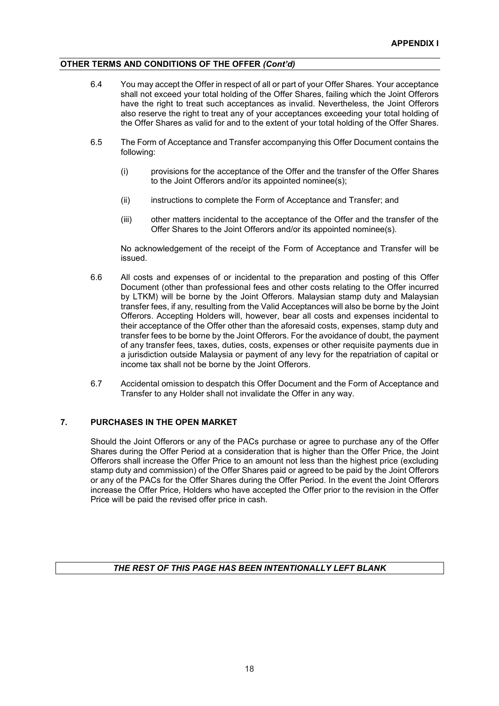## **OTHER TERMS AND CONDITIONS OF THE OFFER** *(Cont'd)*

- 6.4 You may accept the Offer in respect of all or part of your Offer Shares. Your acceptance shall not exceed your total holding of the Offer Shares, failing which the Joint Offerors have the right to treat such acceptances as invalid. Nevertheless, the Joint Offerors also reserve the right to treat any of your acceptances exceeding your total holding of the Offer Shares as valid for and to the extent of your total holding of the Offer Shares.
- 6.5 The Form of Acceptance and Transfer accompanying this Offer Document contains the following:
	- (i) provisions for the acceptance of the Offer and the transfer of the Offer Shares to the Joint Offerors and/or its appointed nominee(s);
	- (ii) instructions to complete the Form of Acceptance and Transfer; and
	- (iii) other matters incidental to the acceptance of the Offer and the transfer of the Offer Shares to the Joint Offerors and/or its appointed nominee(s).

No acknowledgement of the receipt of the Form of Acceptance and Transfer will be issued.

- 6.6 All costs and expenses of or incidental to the preparation and posting of this Offer Document (other than professional fees and other costs relating to the Offer incurred by LTKM) will be borne by the Joint Offerors. Malaysian stamp duty and Malaysian transfer fees, if any, resulting from the Valid Acceptances will also be borne by the Joint Offerors. Accepting Holders will, however, bear all costs and expenses incidental to their acceptance of the Offer other than the aforesaid costs, expenses, stamp duty and transfer fees to be borne by the Joint Offerors. For the avoidance of doubt, the payment of any transfer fees, taxes, duties, costs, expenses or other requisite payments due in a jurisdiction outside Malaysia or payment of any levy for the repatriation of capital or income tax shall not be borne by the Joint Offerors.
- 6.7 Accidental omission to despatch this Offer Document and the Form of Acceptance and Transfer to any Holder shall not invalidate the Offer in any way.

#### **7. PURCHASES IN THE OPEN MARKET**

Should the Joint Offerors or any of the PACs purchase or agree to purchase any of the Offer Shares during the Offer Period at a consideration that is higher than the Offer Price, the Joint Offerors shall increase the Offer Price to an amount not less than the highest price (excluding stamp duty and commission) of the Offer Shares paid or agreed to be paid by the Joint Offerors or any of the PACs for the Offer Shares during the Offer Period. In the event the Joint Offerors increase the Offer Price, Holders who have accepted the Offer prior to the revision in the Offer Price will be paid the revised offer price in cash.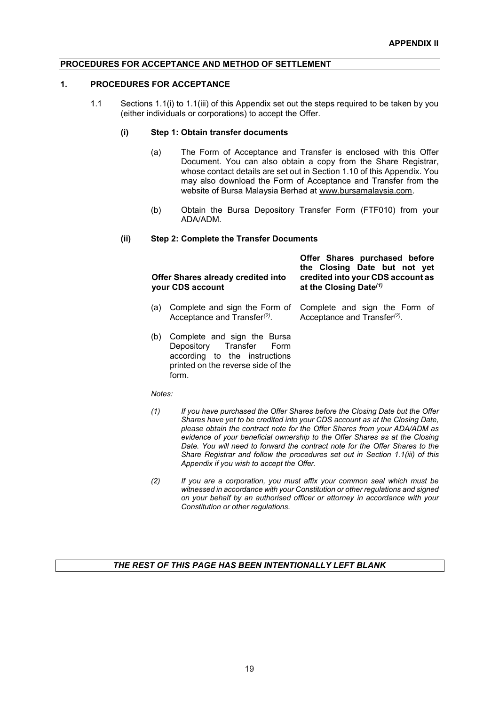#### **1. PROCEDURES FOR ACCEPTANCE**

1.1 Sections 1.1(i) to 1.1(iii) of this Appendix set out the steps required to be taken by you (either individuals or corporations) to accept the Offer.

### **(i) Step 1: Obtain transfer documents**

- (a) The Form of Acceptance and Transfer is enclosed with this Offer Document. You can also obtain a copy from the Share Registrar, whose contact details are set out in Section 1.10 of this Appendix. You may also download the Form of Acceptance and Transfer from the website of Bursa Malaysia Berhad at www.bursamalaysia.com.
- (b) Obtain the Bursa Depository Transfer Form (FTF010) from your ADA/ADM.

**Offer Shares purchased before** 

#### **(ii) Step 2: Complete the Transfer Documents**

| Offer Shares already credited into<br>your CDS account |                                                                                                                                         | the Closing Date but not yet<br>credited into your CDS account as<br>at the Closing Date <sup>(1)</sup> |
|--------------------------------------------------------|-----------------------------------------------------------------------------------------------------------------------------------------|---------------------------------------------------------------------------------------------------------|
| (a)                                                    | Complete and sign the Form of<br>Acceptance and Transfer <sup>(2)</sup> .                                                               | Complete and sign the Form of<br>Acceptance and Transfer <sup>(2)</sup> .                               |
| (b)                                                    | Complete and sign the Bursa<br>Depository Transfer Form<br>according to the instructions<br>printed on the reverse side of the<br>form. |                                                                                                         |

*Notes:*

- *(1) If you have purchased the Offer Shares before the Closing Date but the Offer Shares have yet to be credited into your CDS account as at the Closing Date, please obtain the contract note for the Offer Shares from your ADA/ADM as evidence of your beneficial ownership to the Offer Shares as at the Closing Date. You will need to forward the contract note for the Offer Shares to the Share Registrar and follow the procedures set out in Section 1.1(iii) of this Appendix if you wish to accept the Offer.*
- *(2) If you are a corporation, you must affix your common seal which must be witnessed in accordance with your Constitution or other regulations and signed on your behalf by an authorised officer or attorney in accordance with your Constitution or other regulations.*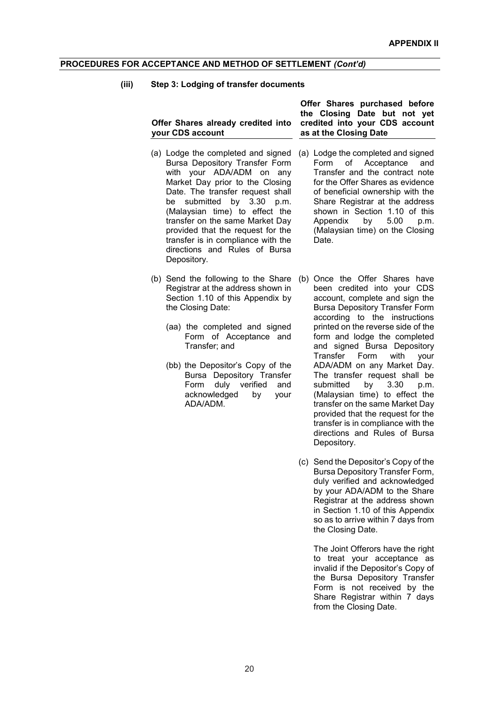#### **(iii) Step 3: Lodging of transfer documents**

**Offer Shares already credited into your CDS account**

- (a) Lodge the completed and signed Bursa Depository Transfer Form with your ADA/ADM on any Market Day prior to the Closing Date. The transfer request shall be submitted by 3.30 p.m. (Malaysian time) to effect the transfer on the same Market Day provided that the request for the transfer is in compliance with the directions and Rules of Bursa Depository.
- (b) Send the following to the Share (b) Once the Offer Shares have Registrar at the address shown in Section 1.10 of this Appendix by the Closing Date:
	- (aa) the completed and signed Form of Acceptance and Transfer; and
	- (bb) the Depositor's Copy of the Bursa Depository Transfer Form duly verified and acknowledged by your ADA/ADM.

**Offer Shares purchased before the Closing Date but not yet credited into your CDS account as at the Closing Date**

- (a) Lodge the completed and signed Form of Acceptance and Transfer and the contract note for the Offer Shares as evidence of beneficial ownership with the Share Registrar at the address shown in Section 1.10 of this<br>Appendix by 5.00 p.m. Appendix  $bv$  5.00 (Malaysian time) on the Closing Date.
- been credited into your CDS account, complete and sign the Bursa Depository Transfer Form according to the instructions printed on the reverse side of the form and lodge the completed and signed Bursa Depository<br>Transfer Form with your Transfer Form with ADA/ADM on any Market Day. The transfer request shall be submitted by 3.30 p.m. (Malaysian time) to effect the transfer on the same Market Day provided that the request for the transfer is in compliance with the directions and Rules of Bursa Depository.
- (c) Send the Depositor's Copy of the Bursa Depository Transfer Form, duly verified and acknowledged by your ADA/ADM to the Share Registrar at the address shown in Section 1.10 of this Appendix so as to arrive within 7 days from the Closing Date.

The Joint Offerors have the right to treat your acceptance as invalid if the Depositor's Copy of the Bursa Depository Transfer Form is not received by the Share Registrar within 7 days from the Closing Date.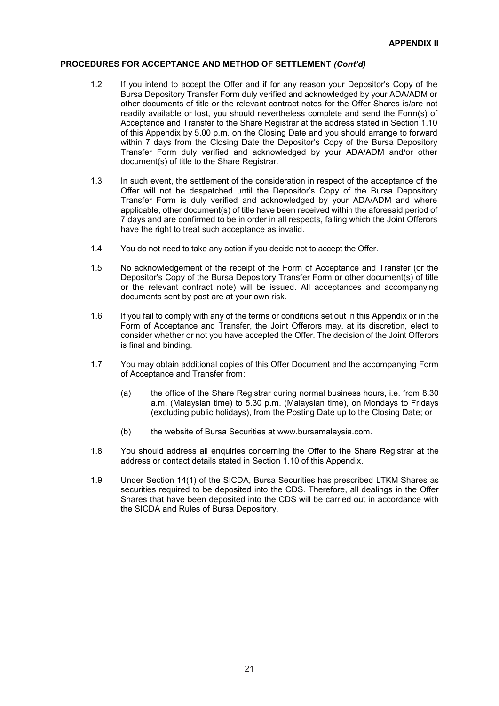- 1.2 If you intend to accept the Offer and if for any reason your Depositor's Copy of the Bursa Depository Transfer Form duly verified and acknowledged by your ADA/ADM or other documents of title or the relevant contract notes for the Offer Shares is/are not readily available or lost, you should nevertheless complete and send the Form(s) of Acceptance and Transfer to the Share Registrar at the address stated in Section 1.10 of this Appendix by 5.00 p.m. on the Closing Date and you should arrange to forward within 7 days from the Closing Date the Depositor's Copy of the Bursa Depository Transfer Form duly verified and acknowledged by your ADA/ADM and/or other document(s) of title to the Share Registrar.
- 1.3 In such event, the settlement of the consideration in respect of the acceptance of the Offer will not be despatched until the Depositor's Copy of the Bursa Depository Transfer Form is duly verified and acknowledged by your ADA/ADM and where applicable, other document(s) of title have been received within the aforesaid period of 7 days and are confirmed to be in order in all respects, failing which the Joint Offerors have the right to treat such acceptance as invalid.
- 1.4 You do not need to take any action if you decide not to accept the Offer.
- 1.5 No acknowledgement of the receipt of the Form of Acceptance and Transfer (or the Depositor's Copy of the Bursa Depository Transfer Form or other document(s) of title or the relevant contract note) will be issued. All acceptances and accompanying documents sent by post are at your own risk.
- 1.6 If you fail to comply with any of the terms or conditions set out in this Appendix or in the Form of Acceptance and Transfer, the Joint Offerors may, at its discretion, elect to consider whether or not you have accepted the Offer. The decision of the Joint Offerors is final and binding.
- 1.7 You may obtain additional copies of this Offer Document and the accompanying Form of Acceptance and Transfer from:
	- (a) the office of the Share Registrar during normal business hours, i.e. from 8.30 a.m. (Malaysian time) to 5.30 p.m. (Malaysian time), on Mondays to Fridays (excluding public holidays), from the Posting Date up to the Closing Date; or
	- (b) the website of Bursa Securities at www.bursamalaysia.com.
- 1.8 You should address all enquiries concerning the Offer to the Share Registrar at the address or contact details stated in Section 1.10 of this Appendix.
- 1.9 Under Section 14(1) of the SICDA, Bursa Securities has prescribed LTKM Shares as securities required to be deposited into the CDS. Therefore, all dealings in the Offer Shares that have been deposited into the CDS will be carried out in accordance with the SICDA and Rules of Bursa Depository.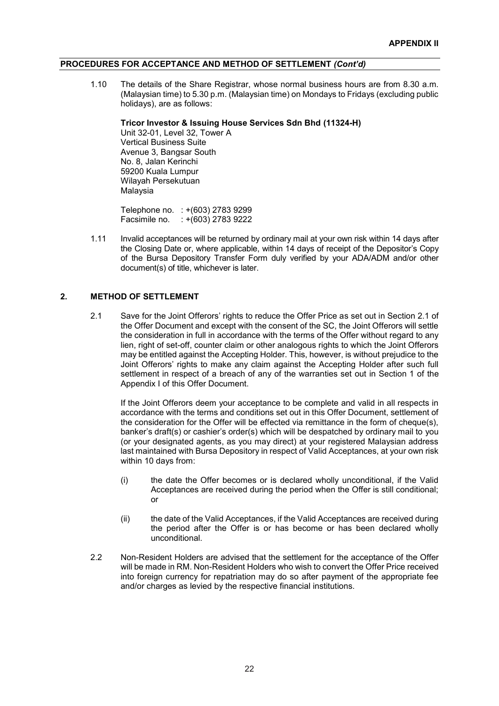1.10 The details of the Share Registrar, whose normal business hours are from 8.30 a.m. (Malaysian time) to 5.30 p.m. (Malaysian time) on Mondays to Fridays (excluding public holidays), are as follows:

#### **Tricor Investor & Issuing House Services Sdn Bhd (11324-H)**

Unit 32-01, Level 32, Tower A Vertical Business Suite Avenue 3, Bangsar South No. 8, Jalan Kerinchi 59200 Kuala Lumpur Wilayah Persekutuan Malaysia

Telephone no. : +(603) 2783 9299 Facsimile no. : +(603) 2783 9222

1.11 Invalid acceptances will be returned by ordinary mail at your own risk within 14 days after the Closing Date or, where applicable, within 14 days of receipt of the Depositor's Copy of the Bursa Depository Transfer Form duly verified by your ADA/ADM and/or other document(s) of title, whichever is later.

#### **2. METHOD OF SETTLEMENT**

2.1 Save for the Joint Offerors' rights to reduce the Offer Price as set out in Section 2.1 of the Offer Document and except with the consent of the SC, the Joint Offerors will settle the consideration in full in accordance with the terms of the Offer without regard to any lien, right of set-off, counter claim or other analogous rights to which the Joint Offerors may be entitled against the Accepting Holder. This, however, is without prejudice to the Joint Offerors' rights to make any claim against the Accepting Holder after such full settlement in respect of a breach of any of the warranties set out in Section 1 of the Appendix I of this Offer Document.

If the Joint Offerors deem your acceptance to be complete and valid in all respects in accordance with the terms and conditions set out in this Offer Document, settlement of the consideration for the Offer will be effected via remittance in the form of cheque(s), banker's draft(s) or cashier's order(s) which will be despatched by ordinary mail to you (or your designated agents, as you may direct) at your registered Malaysian address last maintained with Bursa Depository in respect of Valid Acceptances, at your own risk within 10 days from:

- (i) the date the Offer becomes or is declared wholly unconditional, if the Valid Acceptances are received during the period when the Offer is still conditional; or
- (ii) the date of the Valid Acceptances, if the Valid Acceptances are received during the period after the Offer is or has become or has been declared wholly unconditional.
- 2.2 Non-Resident Holders are advised that the settlement for the acceptance of the Offer will be made in RM. Non-Resident Holders who wish to convert the Offer Price received into foreign currency for repatriation may do so after payment of the appropriate fee and/or charges as levied by the respective financial institutions.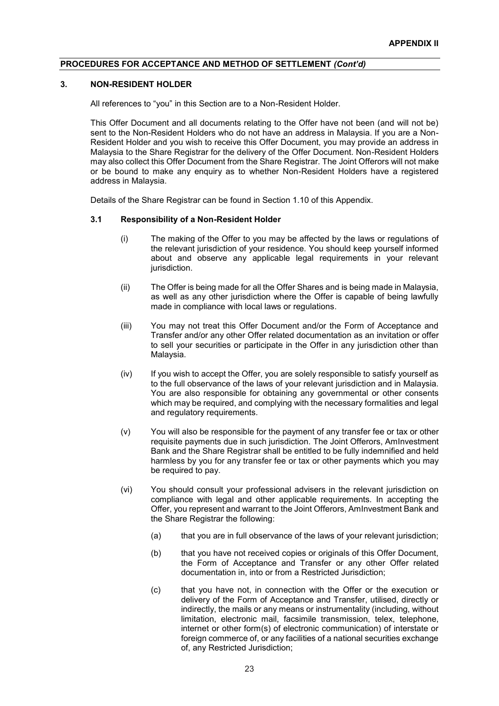#### **3. NON-RESIDENT HOLDER**

All references to "you" in this Section are to a Non-Resident Holder.

This Offer Document and all documents relating to the Offer have not been (and will not be) sent to the Non-Resident Holders who do not have an address in Malaysia. If you are a Non-Resident Holder and you wish to receive this Offer Document, you may provide an address in Malaysia to the Share Registrar for the delivery of the Offer Document. Non-Resident Holders may also collect this Offer Document from the Share Registrar. The Joint Offerors will not make or be bound to make any enquiry as to whether Non-Resident Holders have a registered address in Malaysia.

Details of the Share Registrar can be found in Section 1.10 of this Appendix.

#### **3.1 Responsibility of a Non-Resident Holder**

- (i) The making of the Offer to you may be affected by the laws or regulations of the relevant jurisdiction of your residence. You should keep yourself informed about and observe any applicable legal requirements in your relevant jurisdiction.
- (ii) The Offer is being made for all the Offer Shares and is being made in Malaysia, as well as any other jurisdiction where the Offer is capable of being lawfully made in compliance with local laws or regulations.
- (iii) You may not treat this Offer Document and/or the Form of Acceptance and Transfer and/or any other Offer related documentation as an invitation or offer to sell your securities or participate in the Offer in any jurisdiction other than Malaysia.
- (iv) If you wish to accept the Offer, you are solely responsible to satisfy yourself as to the full observance of the laws of your relevant jurisdiction and in Malaysia. You are also responsible for obtaining any governmental or other consents which may be required, and complying with the necessary formalities and legal and regulatory requirements.
- (v) You will also be responsible for the payment of any transfer fee or tax or other requisite payments due in such jurisdiction. The Joint Offerors, AmInvestment Bank and the Share Registrar shall be entitled to be fully indemnified and held harmless by you for any transfer fee or tax or other payments which you may be required to pay.
- (vi) You should consult your professional advisers in the relevant jurisdiction on compliance with legal and other applicable requirements. In accepting the Offer, you represent and warrant to the Joint Offerors, AmInvestment Bank and the Share Registrar the following:
	- (a) that you are in full observance of the laws of your relevant jurisdiction;
	- (b) that you have not received copies or originals of this Offer Document, the Form of Acceptance and Transfer or any other Offer related documentation in, into or from a Restricted Jurisdiction;
	- (c) that you have not, in connection with the Offer or the execution or delivery of the Form of Acceptance and Transfer, utilised, directly or indirectly, the mails or any means or instrumentality (including, without limitation, electronic mail, facsimile transmission, telex, telephone, internet or other form(s) of electronic communication) of interstate or foreign commerce of, or any facilities of a national securities exchange of, any Restricted Jurisdiction;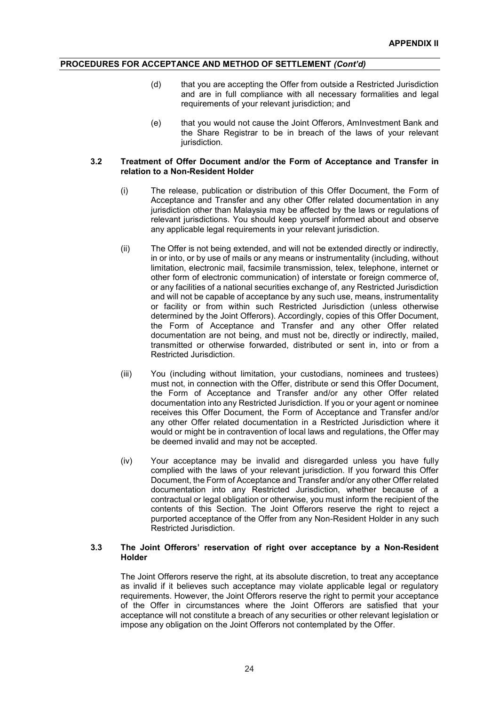- (d) that you are accepting the Offer from outside a Restricted Jurisdiction and are in full compliance with all necessary formalities and legal requirements of your relevant jurisdiction; and
- (e) that you would not cause the Joint Offerors, AmInvestment Bank and the Share Registrar to be in breach of the laws of your relevant jurisdiction.

#### **3.2 Treatment of Offer Document and/or the Form of Acceptance and Transfer in relation to a Non-Resident Holder**

- (i) The release, publication or distribution of this Offer Document, the Form of Acceptance and Transfer and any other Offer related documentation in any jurisdiction other than Malaysia may be affected by the laws or regulations of relevant jurisdictions. You should keep yourself informed about and observe any applicable legal requirements in your relevant jurisdiction.
- (ii) The Offer is not being extended, and will not be extended directly or indirectly, in or into, or by use of mails or any means or instrumentality (including, without limitation, electronic mail, facsimile transmission, telex, telephone, internet or other form of electronic communication) of interstate or foreign commerce of, or any facilities of a national securities exchange of, any Restricted Jurisdiction and will not be capable of acceptance by any such use, means, instrumentality or facility or from within such Restricted Jurisdiction (unless otherwise determined by the Joint Offerors). Accordingly, copies of this Offer Document, the Form of Acceptance and Transfer and any other Offer related documentation are not being, and must not be, directly or indirectly, mailed, transmitted or otherwise forwarded, distributed or sent in, into or from a Restricted Jurisdiction.
- (iii) You (including without limitation, your custodians, nominees and trustees) must not, in connection with the Offer, distribute or send this Offer Document, the Form of Acceptance and Transfer and/or any other Offer related documentation into any Restricted Jurisdiction. If you or your agent or nominee receives this Offer Document, the Form of Acceptance and Transfer and/or any other Offer related documentation in a Restricted Jurisdiction where it would or might be in contravention of local laws and regulations, the Offer may be deemed invalid and may not be accepted.
- (iv) Your acceptance may be invalid and disregarded unless you have fully complied with the laws of your relevant jurisdiction. If you forward this Offer Document, the Form of Acceptance and Transfer and/or any other Offer related documentation into any Restricted Jurisdiction, whether because of a contractual or legal obligation or otherwise, you must inform the recipient of the contents of this Section. The Joint Offerors reserve the right to reject a purported acceptance of the Offer from any Non-Resident Holder in any such Restricted Jurisdiction.

#### **3.3 The Joint Offerors' reservation of right over acceptance by a Non-Resident Holder**

The Joint Offerors reserve the right, at its absolute discretion, to treat any acceptance as invalid if it believes such acceptance may violate applicable legal or regulatory requirements. However, the Joint Offerors reserve the right to permit your acceptance of the Offer in circumstances where the Joint Offerors are satisfied that your acceptance will not constitute a breach of any securities or other relevant legislation or impose any obligation on the Joint Offerors not contemplated by the Offer.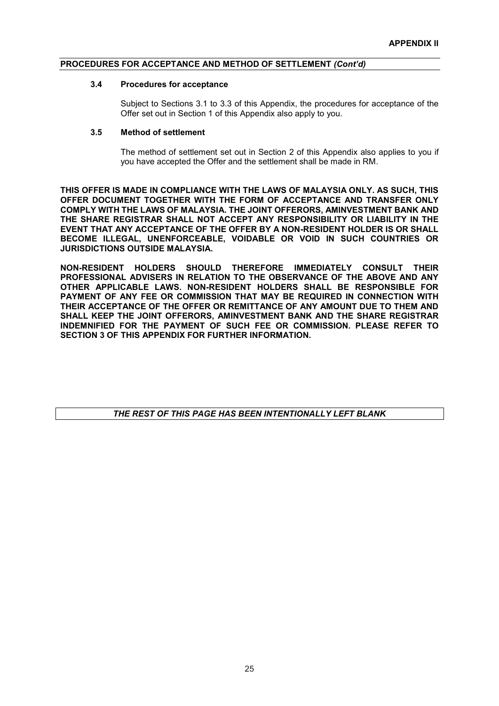#### **3.4 Procedures for acceptance**

Subject to Sections 3.1 to 3.3 of this Appendix, the procedures for acceptance of the Offer set out in Section 1 of this Appendix also apply to you.

#### **3.5 Method of settlement**

The method of settlement set out in Section 2 of this Appendix also applies to you if you have accepted the Offer and the settlement shall be made in RM.

**THIS OFFER IS MADE IN COMPLIANCE WITH THE LAWS OF MALAYSIA ONLY. AS SUCH, THIS OFFER DOCUMENT TOGETHER WITH THE FORM OF ACCEPTANCE AND TRANSFER ONLY COMPLY WITH THE LAWS OF MALAYSIA. THE JOINT OFFERORS, AMINVESTMENT BANK AND THE SHARE REGISTRAR SHALL NOT ACCEPT ANY RESPONSIBILITY OR LIABILITY IN THE EVENT THAT ANY ACCEPTANCE OF THE OFFER BY A NON-RESIDENT HOLDER IS OR SHALL BECOME ILLEGAL, UNENFORCEABLE, VOIDABLE OR VOID IN SUCH COUNTRIES OR JURISDICTIONS OUTSIDE MALAYSIA.**

**NON-RESIDENT HOLDERS SHOULD THEREFORE IMMEDIATELY CONSULT THEIR PROFESSIONAL ADVISERS IN RELATION TO THE OBSERVANCE OF THE ABOVE AND ANY OTHER APPLICABLE LAWS. NON-RESIDENT HOLDERS SHALL BE RESPONSIBLE FOR PAYMENT OF ANY FEE OR COMMISSION THAT MAY BE REQUIRED IN CONNECTION WITH THEIR ACCEPTANCE OF THE OFFER OR REMITTANCE OF ANY AMOUNT DUE TO THEM AND SHALL KEEP THE JOINT OFFERORS, AMINVESTMENT BANK AND THE SHARE REGISTRAR INDEMNIFIED FOR THE PAYMENT OF SUCH FEE OR COMMISSION. PLEASE REFER TO SECTION 3 OF THIS APPENDIX FOR FURTHER INFORMATION.**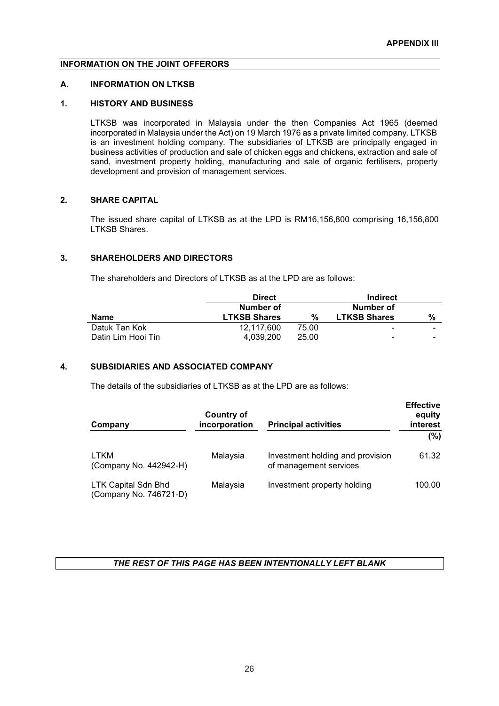## **INFORMATION ON THE JOINT OFFERORS**

#### **A. INFORMATION ON LTKSB**

#### **1. HISTORY AND BUSINESS**

LTKSB was incorporated in Malaysia under the then Companies Act 1965 (deemed incorporated in Malaysia under the Act) on 19 March 1976 as a private limited company. LTKSB is an investment holding company. The subsidiaries of LTKSB are principally engaged in business activities of production and sale of chicken eggs and chickens, extraction and sale of sand, investment property holding, manufacturing and sale of organic fertilisers, property development and provision of management services.

## **2. SHARE CAPITAL**

The issued share capital of LTKSB as at the LPD is RM16,156,800 comprising 16,156,800 LTKSB Shares.

## **3. SHAREHOLDERS AND DIRECTORS**

The shareholders and Directors of LTKSB as at the LPD are as follows:

|                    | <b>Direct</b>       |       |                     | Indirect |  |
|--------------------|---------------------|-------|---------------------|----------|--|
|                    | Number of           |       | Number of           |          |  |
| Name               | <b>LTKSB Shares</b> | %     | <b>LTKSB Shares</b> | %        |  |
| Datuk Tan Kok      | 12.117.600          | 75.00 | $\qquad \qquad$     | -        |  |
| Datin Lim Hooi Tin | 4.039.200           | 25.00 | -                   | -        |  |

## **4. SUBSIDIARIES AND ASSOCIATED COMPANY**

The details of the subsidiaries of LTKSB as at the LPD are as follows:

| Company                                              | <b>Country of</b><br>incorporation | <b>Principal activities</b>                                | <b>Effective</b><br>equity<br>interest |
|------------------------------------------------------|------------------------------------|------------------------------------------------------------|----------------------------------------|
|                                                      |                                    |                                                            | (%)                                    |
| LTKM<br>(Company No. 442942-H)                       | Malaysia                           | Investment holding and provision<br>of management services | 61.32                                  |
| <b>LTK Capital Sdn Bhd</b><br>(Company No. 746721-D) | Malaysia                           | Investment property holding                                | 100.00                                 |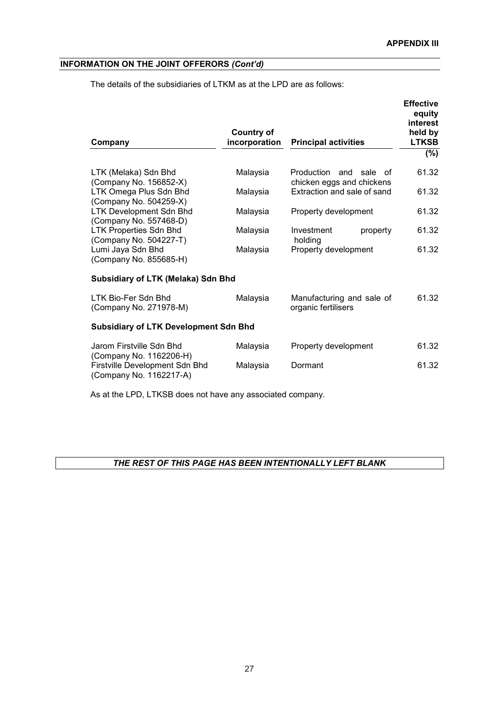The details of the subsidiaries of LTKM as at the LPD are as follows:

| Company                                                                              | <b>Country of</b><br>incorporation | <b>Principal activities</b>                         |          | <b>Effective</b><br>equity<br>interest<br>held by<br><b>LTKSB</b> |
|--------------------------------------------------------------------------------------|------------------------------------|-----------------------------------------------------|----------|-------------------------------------------------------------------|
|                                                                                      |                                    |                                                     |          | $(\% )$                                                           |
| LTK (Melaka) Sdn Bhd<br>(Company No. 156852-X)                                       | Malaysia                           | Production and sale of<br>chicken eggs and chickens |          | 61.32                                                             |
| LTK Omega Plus Sdn Bhd<br>(Company No. 504259-X)                                     | Malaysia                           | Extraction and sale of sand                         |          | 61.32                                                             |
| <b>LTK Development Sdn Bhd</b><br>(Company No. 557468-D)                             | Malaysia                           | Property development                                |          | 61.32                                                             |
| <b>LTK Properties Sdn Bhd</b><br>(Company No. 504227-T)                              | Malaysia                           | Investment<br>holding                               | property | 61.32                                                             |
| Lumi Jaya Sdn Bhd<br>(Company No. 855685-H)                                          | Malaysia                           | Property development                                |          | 61.32                                                             |
| Subsidiary of LTK (Melaka) Sdn Bhd                                                   |                                    |                                                     |          |                                                                   |
| LTK Bio-Fer Sdn Bhd<br>(Company No. 271978-M)                                        | Malaysia                           | Manufacturing and sale of<br>organic fertilisers    |          | 61.32                                                             |
| <b>Subsidiary of LTK Development Sdn Bhd</b>                                         |                                    |                                                     |          |                                                                   |
| Jarom Firstville Sdn Bhd                                                             | Malaysia                           | Property development                                |          | 61.32                                                             |
| (Company No. 1162206-H)<br>Firstville Development Sdn Bhd<br>(Company No. 1162217-A) | Malaysia                           | Dormant                                             |          | 61.32                                                             |

As at the LPD, LTKSB does not have any associated company.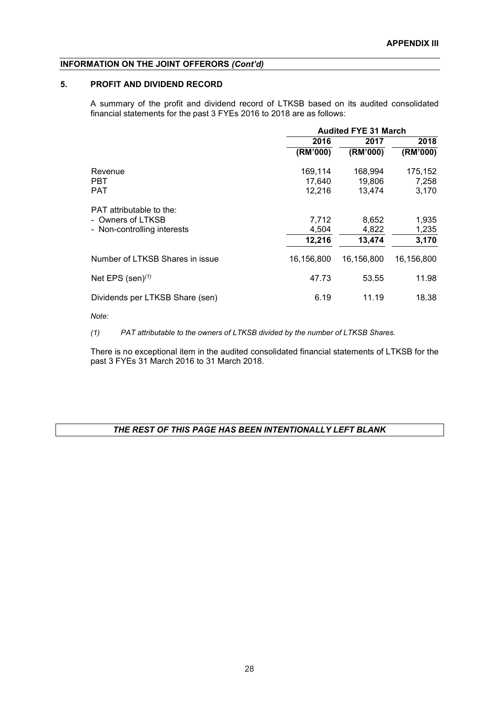## **5. PROFIT AND DIVIDEND RECORD**

A summary of the profit and dividend record of LTKSB based on its audited consolidated financial statements for the past 3 FYEs 2016 to 2018 are as follows:

|                                 | <b>Audited FYE 31 March</b> |                  |                |  |
|---------------------------------|-----------------------------|------------------|----------------|--|
|                                 | 2016                        | 2017             | 2018           |  |
|                                 | (RM'000)                    | (RM'000)         | (RM'000)       |  |
| Revenue                         | 169,114                     | 168,994          | 175,152        |  |
| <b>PBT</b><br><b>PAT</b>        | 17,640<br>12,216            | 19,806<br>13,474 | 7,258<br>3,170 |  |
| PAT attributable to the:        |                             |                  |                |  |
| - Owners of LTKSB               | 7,712                       | 8,652            | 1,935          |  |
| - Non-controlling interests     | 4,504                       | 4,822            | 1,235          |  |
|                                 | 12,216                      | 13,474           | 3,170          |  |
| Number of LTKSB Shares in issue | 16.156.800                  | 16.156.800       | 16,156,800     |  |
| Net EPS $(sen)^{(1)}$           | 47.73                       | 53.55            | 11.98          |  |
| Dividends per LTKSB Share (sen) | 6.19                        | 11.19            | 18.38          |  |

*Note:*

*(1) PAT attributable to the owners of LTKSB divided by the number of LTKSB Shares.*

There is no exceptional item in the audited consolidated financial statements of LTKSB for the past 3 FYEs 31 March 2016 to 31 March 2018.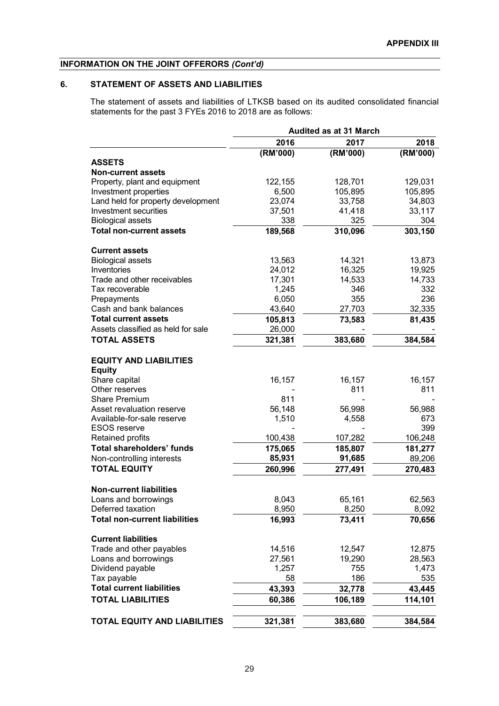## **6. STATEMENT OF ASSETS AND LIABILITIES**

The statement of assets and liabilities of LTKSB based on its audited consolidated financial statements for the past 3 FYEs 2016 to 2018 are as follows:

|                                                 |          | <b>Audited as at 31 March</b> |          |
|-------------------------------------------------|----------|-------------------------------|----------|
|                                                 | 2016     | 2017                          | 2018     |
|                                                 | (RM'000) | (RM'000)                      | (RM'000) |
| <b>ASSETS</b>                                   |          |                               |          |
| <b>Non-current assets</b>                       |          |                               |          |
| Property, plant and equipment                   | 122,155  | 128,701                       | 129,031  |
| Investment properties                           | 6,500    | 105,895                       | 105,895  |
| Land held for property development              | 23,074   | 33,758                        | 34,803   |
| Investment securities                           | 37,501   | 41,418                        | 33,117   |
| <b>Biological assets</b>                        | 338      | 325                           | 304      |
| <b>Total non-current assets</b>                 | 189,568  | 310,096                       | 303,150  |
| <b>Current assets</b>                           |          |                               |          |
| <b>Biological assets</b>                        | 13,563   | 14,321                        | 13,873   |
| Inventories                                     | 24,012   | 16,325                        | 19,925   |
| Trade and other receivables                     | 17,301   | 14,533                        | 14,733   |
| Tax recoverable                                 | 1,245    | 346                           | 332      |
| Prepayments                                     | 6,050    | 355                           | 236      |
| Cash and bank balances                          | 43,640   | 27,703                        | 32,335   |
| <b>Total current assets</b>                     | 105,813  | 73,583                        | 81,435   |
| Assets classified as held for sale              | 26,000   |                               |          |
| <b>TOTAL ASSETS</b>                             | 321,381  | 383,680                       | 384,584  |
| <b>EQUITY AND LIABILITIES</b>                   |          |                               |          |
| <b>Equity</b>                                   |          |                               |          |
| Share capital                                   | 16,157   | 16,157                        | 16,157   |
| Other reserves                                  |          | 811                           | 811      |
| <b>Share Premium</b>                            | 811      |                               |          |
| Asset revaluation reserve                       | 56,148   | 56,998                        | 56,988   |
| Available-for-sale reserve                      | 1,510    | 4,558                         | 673      |
| <b>ESOS</b> reserve                             |          |                               | 399      |
| Retained profits                                | 100,438  | 107,282                       | 106,248  |
| <b>Total shareholders' funds</b>                | 175,065  | 185,807                       | 181,277  |
| Non-controlling interests                       | 85,931   | 91,685                        | 89,206   |
| <b>TOTAL EQUITY</b>                             | 260,996  | 277,491                       | 270,483  |
| <b>Non-current liabilities</b>                  |          |                               |          |
| Loans and borrowings                            | 8,043    | 65,161                        | 62,563   |
| Deferred taxation                               | 8,950    | 8,250                         | 8,092    |
| <b>Total non-current liabilities</b>            | 16,993   | 73,411                        | 70,656   |
| <b>Current liabilities</b>                      |          |                               |          |
| Trade and other payables                        | 14,516   | 12,547                        | 12,875   |
| Loans and borrowings                            | 27,561   | 19,290                        | 28,563   |
| Dividend payable                                | 1,257    | 755                           | 1,473    |
|                                                 | 58       | 186                           | 535      |
| Tax payable<br><b>Total current liabilities</b> |          |                               |          |
|                                                 | 43,393   | 32,778                        | 43,445   |
| <b>TOTAL LIABILITIES</b>                        | 60,386   | 106,189                       | 114,101  |
| <b>TOTAL EQUITY AND LIABILITIES</b>             | 321,381  | 383,680                       | 384,584  |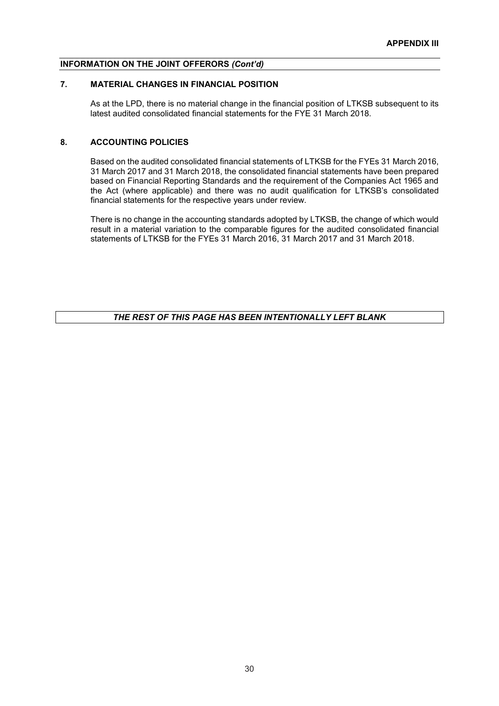## **7. MATERIAL CHANGES IN FINANCIAL POSITION**

As at the LPD, there is no material change in the financial position of LTKSB subsequent to its latest audited consolidated financial statements for the FYE 31 March 2018.

## **8. ACCOUNTING POLICIES**

Based on the audited consolidated financial statements of LTKSB for the FYEs 31 March 2016, 31 March 2017 and 31 March 2018, the consolidated financial statements have been prepared based on Financial Reporting Standards and the requirement of the Companies Act 1965 and the Act (where applicable) and there was no audit qualification for LTKSB's consolidated financial statements for the respective years under review.

There is no change in the accounting standards adopted by LTKSB, the change of which would result in a material variation to the comparable figures for the audited consolidated financial statements of LTKSB for the FYEs 31 March 2016, 31 March 2017 and 31 March 2018.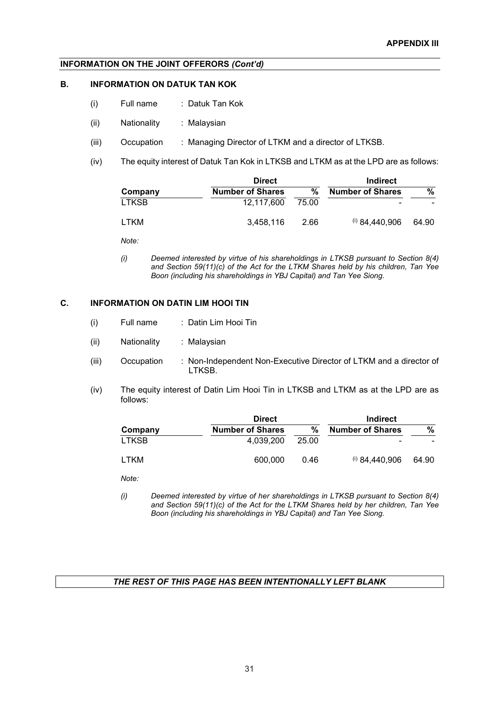#### **B. INFORMATION ON DATUK TAN KOK**

- (i) Full name : Datuk Tan Kok
- (ii) Nationality : Malaysian
- (iii) Occupation : Managing Director of LTKM and a director of LTKSB.
- (iv) The equity interest of Datuk Tan Kok in LTKSB and LTKM as at the LPD are as follows:

|              | <b>Direct</b>           |       |                         |       |
|--------------|-------------------------|-------|-------------------------|-------|
| Company      | <b>Number of Shares</b> | %     | <b>Number of Shares</b> | ℅     |
| <b>LTKSB</b> | 12.117.600              | 75.00 |                         |       |
| <b>LTKM</b>  | 3.458.116               | 2.66  | $(i)$ 84.440.906        | 64.90 |

*Note:*

*(i) Deemed interested by virtue of his shareholdings in LTKSB pursuant to Section 8(4) and Section 59(11)(c) of the Act for the LTKM Shares held by his children, Tan Yee Boon (including his shareholdings in YBJ Capital) and Tan Yee Siong.*

### **C. INFORMATION ON DATIN LIM HOOI TIN**

- (i) Full name : Datin Lim Hooi Tin
- (ii) Nationality : Malaysian
- (iii) Occupation : Non-Independent Non-Executive Director of LTKM and a director of LTKSB.
- (iv) The equity interest of Datin Lim Hooi Tin in LTKSB and LTKM as at the LPD are as follows:

|              | <b>Direct</b>           |       |                         |       |
|--------------|-------------------------|-------|-------------------------|-------|
| Company      | <b>Number of Shares</b> | %     | <b>Number of Shares</b> | %     |
| <b>LTKSB</b> | 4.039.200               | 25.00 | -                       |       |
| LTKM         | 600,000                 | 0.46  | $(i)$ 84,440,906        | 64.90 |

*Note:*

*(i) Deemed interested by virtue of her shareholdings in LTKSB pursuant to Section 8(4) and Section 59(11)(c) of the Act for the LTKM Shares held by her children, Tan Yee Boon (including his shareholdings in YBJ Capital) and Tan Yee Siong.*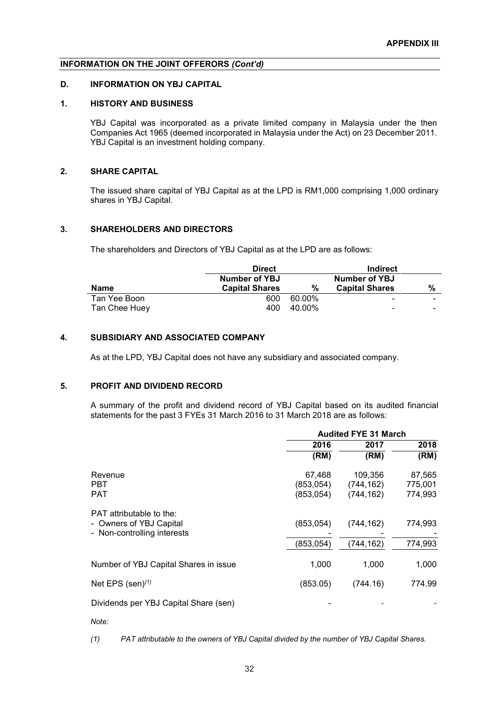#### **D. INFORMATION ON YBJ CAPITAL**

#### **1. HISTORY AND BUSINESS**

YBJ Capital was incorporated as a private limited company in Malaysia under the then Companies Act 1965 (deemed incorporated in Malaysia under the Act) on 23 December 2011. YBJ Capital is an investment holding company.

## **2. SHARE CAPITAL**

The issued share capital of YBJ Capital as at the LPD is RM1,000 comprising 1,000 ordinary shares in YBJ Capital.

#### **3. SHAREHOLDERS AND DIRECTORS**

The shareholders and Directors of YBJ Capital as at the LPD are as follows:

|               | <b>Direct</b>         |        | <b>Indirect</b>          |                          |
|---------------|-----------------------|--------|--------------------------|--------------------------|
|               | <b>Number of YBJ</b>  |        | <b>Number of YBJ</b>     |                          |
| Name          | <b>Capital Shares</b> | %      | <b>Capital Shares</b>    | %                        |
| Tan Yee Boon  | 600                   | 60.00% | -                        | $\overline{\phantom{0}}$ |
| Tan Chee Huey | 400                   | 40.00% | $\overline{\phantom{0}}$ | $\overline{\phantom{0}}$ |

## **4. SUBSIDIARY AND ASSOCIATED COMPANY**

As at the LPD, YBJ Capital does not have any subsidiary and associated company.

#### **5. PROFIT AND DIVIDEND RECORD**

A summary of the profit and dividend record of YBJ Capital based on its audited financial statements for the past 3 FYEs 31 March 2016 to 31 March 2018 are as follows:

|                                                                                    | <b>Audited FYE 31 March</b>       |                                    |                              |  |
|------------------------------------------------------------------------------------|-----------------------------------|------------------------------------|------------------------------|--|
|                                                                                    | 2016                              | 2017                               | 2018                         |  |
|                                                                                    | (RM)                              | (RM)                               | (RM)                         |  |
| Revenue<br><b>PBT</b><br><b>PAT</b>                                                | 67,468<br>(853,054)<br>(853, 054) | 109,356<br>(744,162)<br>(744, 162) | 87,565<br>775,001<br>774,993 |  |
| PAT attributable to the:<br>- Owners of YBJ Capital<br>- Non-controlling interests | (853, 054)                        | (744, 162)                         | 774,993                      |  |
|                                                                                    | (853,054)                         | (744,162)                          | 774,993                      |  |
| Number of YBJ Capital Shares in issue                                              | 1,000                             | 1,000                              | 1,000                        |  |
| Net EPS $(sen)^{(1)}$                                                              | (853.05)                          | (744.16)                           | 774.99                       |  |
| Dividends per YBJ Capital Share (sen)                                              |                                   |                                    |                              |  |

*Note:*

*(1) PAT attributable to the owners of YBJ Capital divided by the number of YBJ Capital Shares.*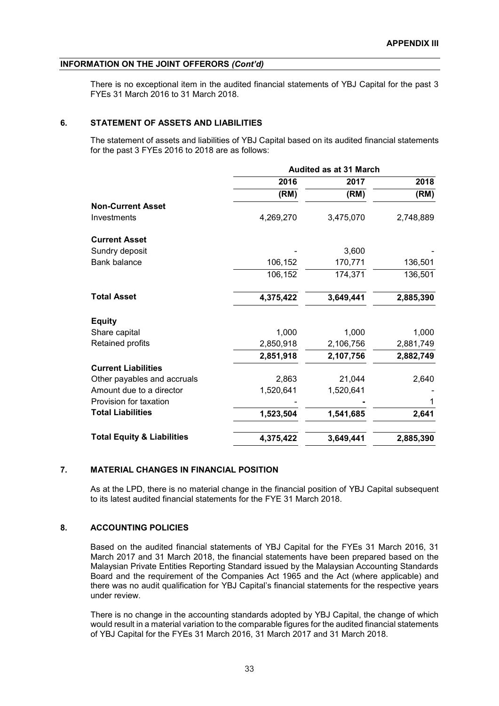There is no exceptional item in the audited financial statements of YBJ Capital for the past 3 FYEs 31 March 2016 to 31 March 2018.

### **6. STATEMENT OF ASSETS AND LIABILITIES**

The statement of assets and liabilities of YBJ Capital based on its audited financial statements for the past 3 FYEs 2016 to 2018 are as follows:

|                                       | <b>Audited as at 31 March</b> |           |           |  |
|---------------------------------------|-------------------------------|-----------|-----------|--|
|                                       | 2016                          | 2017      | 2018      |  |
|                                       | (RM)                          | (RM)      | (RM)      |  |
| <b>Non-Current Asset</b>              |                               |           |           |  |
| Investments                           | 4,269,270                     | 3,475,070 | 2,748,889 |  |
| <b>Current Asset</b>                  |                               |           |           |  |
| Sundry deposit                        |                               | 3,600     |           |  |
| Bank balance                          | 106,152                       | 170,771   | 136,501   |  |
|                                       | 106,152                       | 174,371   | 136,501   |  |
| <b>Total Asset</b>                    | 4,375,422                     | 3,649,441 | 2,885,390 |  |
| <b>Equity</b>                         |                               |           |           |  |
| Share capital                         | 1,000                         | 1,000     | 1,000     |  |
| Retained profits                      | 2,850,918                     | 2,106,756 | 2,881,749 |  |
|                                       | 2,851,918                     | 2,107,756 | 2,882,749 |  |
| <b>Current Liabilities</b>            |                               |           |           |  |
| Other payables and accruals           | 2,863                         | 21,044    | 2,640     |  |
| Amount due to a director              | 1,520,641                     | 1,520,641 |           |  |
| Provision for taxation                |                               |           | 1         |  |
| <b>Total Liabilities</b>              | 1,523,504                     | 1,541,685 | 2,641     |  |
| <b>Total Equity &amp; Liabilities</b> | 4,375,422                     | 3,649,441 | 2,885,390 |  |

## **7. MATERIAL CHANGES IN FINANCIAL POSITION**

As at the LPD, there is no material change in the financial position of YBJ Capital subsequent to its latest audited financial statements for the FYE 31 March 2018.

## **8. ACCOUNTING POLICIES**

Based on the audited financial statements of YBJ Capital for the FYEs 31 March 2016, 31 March 2017 and 31 March 2018, the financial statements have been prepared based on the Malaysian Private Entities Reporting Standard issued by the Malaysian Accounting Standards Board and the requirement of the Companies Act 1965 and the Act (where applicable) and there was no audit qualification for YBJ Capital's financial statements for the respective years under review.

There is no change in the accounting standards adopted by YBJ Capital, the change of which would result in a material variation to the comparable figures for the audited financial statements of YBJ Capital for the FYEs 31 March 2016, 31 March 2017 and 31 March 2018.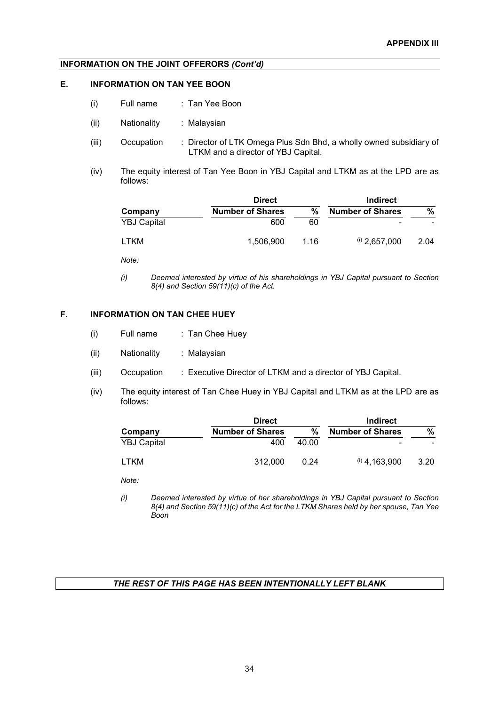## **E. INFORMATION ON TAN YEE BOON**

- (i) Full name : Tan Yee Boon
- (ii) Nationality : Malaysian
- (iii) Occupation : Director of LTK Omega Plus Sdn Bhd, a wholly owned subsidiary of LTKM and a director of YBJ Capital.
- (iv) The equity interest of Tan Yee Boon in YBJ Capital and LTKM as at the LPD are as follows:

|                    | <b>Direct</b>           |      | Indirect                |      |
|--------------------|-------------------------|------|-------------------------|------|
| Company            | <b>Number of Shares</b> | %    | <b>Number of Shares</b> | %    |
| <b>YBJ Capital</b> | 600                     | 60   |                         |      |
| LTKM               | 1,506,900               | 1.16 | $(i)$ 2,657,000         | 2.04 |

*Note:*

*(i) Deemed interested by virtue of his shareholdings in YBJ Capital pursuant to Section 8(4) and Section 59(11)(c) of the Act.* 

## **F. INFORMATION ON TAN CHEE HUEY**

- (i) Full name : Tan Chee Huey
- (ii) Nationality : Malaysian
- (iii) Occupation : Executive Director of LTKM and a director of YBJ Capital.
- (iv) The equity interest of Tan Chee Huey in YBJ Capital and LTKM as at the LPD are as follows:

|                    | <b>Direct</b>           |       |                         |      |
|--------------------|-------------------------|-------|-------------------------|------|
| Company            | <b>Number of Shares</b> | ℅     | <b>Number of Shares</b> | %    |
| <b>YBJ Capital</b> | 400                     | 40.00 |                         |      |
| <b>LTKM</b>        | 312,000                 | 0.24  | $(1)$ 4,163,900         | 3.20 |

*Note:*

*(i) Deemed interested by virtue of her shareholdings in YBJ Capital pursuant to Section 8(4) and Section 59(11)(c) of the Act for the LTKM Shares held by her spouse, Tan Yee Boon*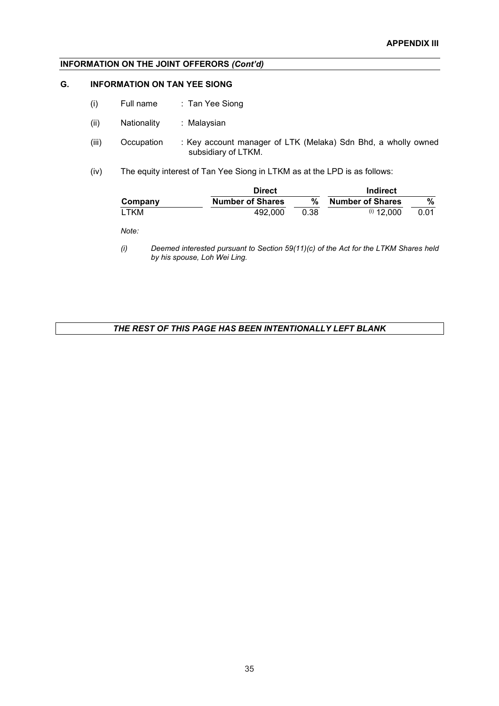## **G. INFORMATION ON TAN YEE SIONG**

- (i) Full name : Tan Yee Siong
- (ii) Nationality : Malaysian
- (iii) Occupation : Key account manager of LTK (Melaka) Sdn Bhd, a wholly owned subsidiary of LTKM.
- (iv) The equity interest of Tan Yee Siong in LTKM as at the LPD is as follows:

|         | <b>Direct</b>           |      | Indirect                |      |  |
|---------|-------------------------|------|-------------------------|------|--|
| Company | <b>Number of Shares</b> | %    | <b>Number of Shares</b> | %    |  |
| LTKM    | 492,000                 | 0.38 | $(i)$ 12,000            | 0.01 |  |

*Note:*

*(i) Deemed interested pursuant to Section 59(11)(c) of the Act for the LTKM Shares held by his spouse, Loh Wei Ling.*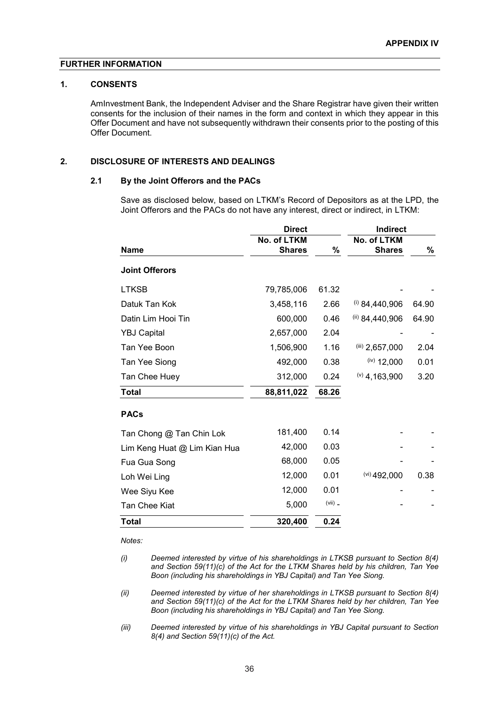#### **FURTHER INFORMATION**

#### **1. CONSENTS**

AmInvestment Bank, the Independent Adviser and the Share Registrar have given their written consents for the inclusion of their names in the form and context in which they appear in this Offer Document and have not subsequently withdrawn their consents prior to the posting of this Offer Document.

## **2. DISCLOSURE OF INTERESTS AND DEALINGS**

#### **2.1 By the Joint Offerors and the PACs**

Save as disclosed below, based on LTKM's Record of Depositors as at the LPD, the Joint Offerors and the PACs do not have any interest, direct or indirect, in LTKM:

|                              | <b>Direct</b>                |           | <b>Indirect</b>              |       |
|------------------------------|------------------------------|-----------|------------------------------|-------|
| <b>Name</b>                  | No. of LTKM<br><b>Shares</b> | %         | No. of LTKM<br><b>Shares</b> | %     |
| <b>Joint Offerors</b>        |                              |           |                              |       |
| <b>LTKSB</b>                 | 79,785,006                   | 61.32     |                              |       |
| Datuk Tan Kok                | 3,458,116                    | 2.66      | $(i)$ 84,440,906             | 64.90 |
| Datin Lim Hooi Tin           | 600,000                      | 0.46      | (ii) 84,440,906              | 64.90 |
| <b>YBJ Capital</b>           | 2,657,000                    | 2.04      |                              |       |
| Tan Yee Boon                 | 1,506,900                    | 1.16      | (iii) 2,657,000              | 2.04  |
| Tan Yee Siong                | 492,000                      | 0.38      | $(iv)$ 12,000                | 0.01  |
| Tan Chee Huey                | 312,000                      | 0.24      | $(9)$ 4, 163, 900            | 3.20  |
| <b>Total</b>                 | 88,811,022                   | 68.26     |                              |       |
| <b>PACs</b>                  |                              |           |                              |       |
| Tan Chong @ Tan Chin Lok     | 181,400                      | 0.14      |                              |       |
| Lim Keng Huat @ Lim Kian Hua | 42,000                       | 0.03      |                              |       |
| Fua Gua Song                 | 68,000                       | 0.05      |                              |       |
| Loh Wei Ling                 | 12,000                       | 0.01      | $(vi)$ 492,000               | 0.38  |
| Wee Siyu Kee                 | 12,000                       | 0.01      |                              |       |
| <b>Tan Chee Kiat</b>         | 5,000                        | $(vii)$ _ |                              |       |
| <b>Total</b>                 | 320,400                      | 0.24      |                              |       |

*Notes:*

- *(i) Deemed interested by virtue of his shareholdings in LTKSB pursuant to Section 8(4) and Section 59(11)(c) of the Act for the LTKM Shares held by his children, Tan Yee Boon (including his shareholdings in YBJ Capital) and Tan Yee Siong.*
- *(ii) Deemed interested by virtue of her shareholdings in LTKSB pursuant to Section 8(4) and Section 59(11)(c) of the Act for the LTKM Shares held by her children, Tan Yee Boon (including his shareholdings in YBJ Capital) and Tan Yee Siong.*
- *(iii) Deemed interested by virtue of his shareholdings in YBJ Capital pursuant to Section 8(4) and Section 59(11)(c) of the Act.*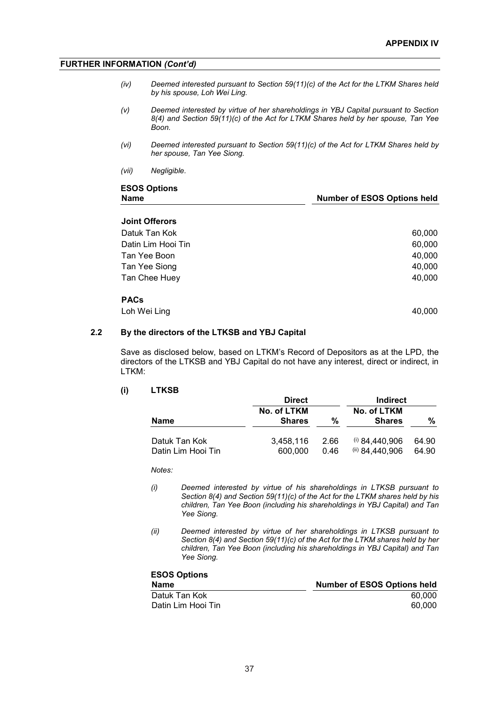**Number of ESOS Options held** 

## **FURTHER INFORMATION** *(Cont'd)*

- *(iv) Deemed interested pursuant to Section 59(11)(c) of the Act for the LTKM Shares held by his spouse, Loh Wei Ling.*
- *(v) Deemed interested by virtue of her shareholdings in YBJ Capital pursuant to Section 8(4) and Section 59(11)(c) of the Act for LTKM Shares held by her spouse, Tan Yee Boon.*
- *(vi) Deemed interested pursuant to Section 59(11)(c) of the Act for LTKM Shares held by her spouse, Tan Yee Siong.*
- *(vii) Negligible.*

# **ESOS Options**

| <b>Joint Offerors</b> |        |
|-----------------------|--------|
| Datuk Tan Kok         | 60,000 |
| Datin Lim Hooi Tin    | 60,000 |
| Tan Yee Boon          | 40,000 |
| Tan Yee Siong         | 40,000 |
| Tan Chee Huey         | 40,000 |
| <b>PACs</b>           |        |
| Loh Wei Ling          | 40,000 |
|                       |        |

#### **2.2 By the directors of the LTKSB and YBJ Capital**

Save as disclosed below, based on LTKM's Record of Depositors as at the LPD, the directors of the LTKSB and YBJ Capital do not have any interest, direct or indirect, in LTKM:

### **(i) LTKSB**

|                    | <b>Direct</b>                |      | <b>Indirect</b>              |       |
|--------------------|------------------------------|------|------------------------------|-------|
| Name               | No. of LTKM<br><b>Shares</b> | %    | No. of LTKM<br><b>Shares</b> | ℅     |
| Datuk Tan Kok      | 3.458.116                    | 2.66 | $(i)$ 84,440,906             | 64.90 |
| Datin Lim Hooi Tin | 600,000                      | 0.46 | $^{(ii)}$ 84.440.906         | 64.90 |

*Notes:*

- *(i) Deemed interested by virtue of his shareholdings in LTKSB pursuant to Section 8(4) and Section 59(11)(c) of the Act for the LTKM shares held by his children, Tan Yee Boon (including his shareholdings in YBJ Capital) and Tan Yee Siong.*
- *(ii) Deemed interested by virtue of her shareholdings in LTKSB pursuant to Section 8(4) and Section 59(11)(c) of the Act for the LTKM shares held by her children, Tan Yee Boon (including his shareholdings in YBJ Capital) and Tan Yee Siong.*

| <b>ESOS Options</b> |                                    |
|---------------------|------------------------------------|
| Name                | <b>Number of ESOS Options held</b> |
| Datuk Tan Kok       | 60.000                             |
| Datin Lim Hooi Tin  | 60.000                             |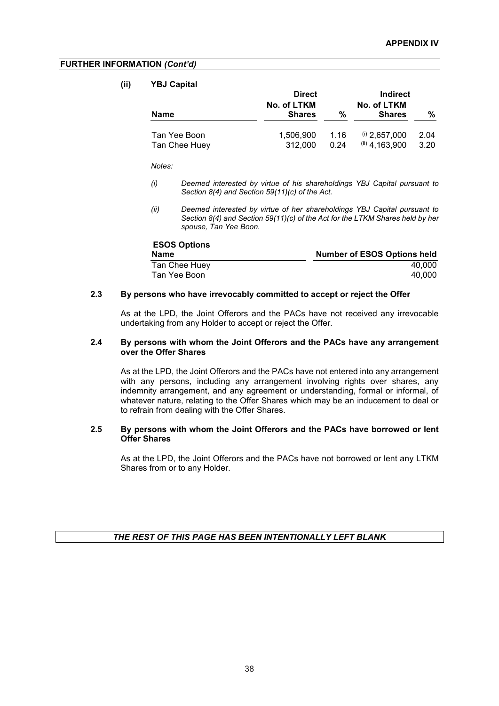### **FURTHER INFORMATION** *(Cont'd)*

#### **(ii) YBJ Capital**

|                               | <b>Direct</b>                |              |                                        | Indirect     |  |
|-------------------------------|------------------------------|--------------|----------------------------------------|--------------|--|
| Name                          | No. of LTKM<br><b>Shares</b> | %            | No. of LTKM<br><b>Shares</b>           | %            |  |
| Tan Yee Boon<br>Tan Chee Huey | 1.506.900<br>312,000         | 1.16<br>0.24 | $(i)$ 2,657,000<br>$(iii)$ 4, 163, 900 | 2.04<br>3.20 |  |

*Notes:*

- *(i) Deemed interested by virtue of his shareholdings YBJ Capital pursuant to Section 8(4) and Section 59(11)(c) of the Act.*
- *(ii) Deemed interested by virtue of her shareholdings YBJ Capital pursuant to Section 8(4) and Section 59(11)(c) of the Act for the LTKM Shares held by her spouse, Tan Yee Boon.*

| <b>ESOS Options</b> |                                    |
|---------------------|------------------------------------|
| Name                | <b>Number of ESOS Options held</b> |
| Tan Chee Huey       | 40.000                             |
| Tan Yee Boon        | 40.000                             |

#### **2.3 By persons who have irrevocably committed to accept or reject the Offer**

As at the LPD, the Joint Offerors and the PACs have not received any irrevocable undertaking from any Holder to accept or reject the Offer.

#### **2.4 By persons with whom the Joint Offerors and the PACs have any arrangement over the Offer Shares**

As at the LPD, the Joint Offerors and the PACs have not entered into any arrangement with any persons, including any arrangement involving rights over shares, any indemnity arrangement, and any agreement or understanding, formal or informal, of whatever nature, relating to the Offer Shares which may be an inducement to deal or to refrain from dealing with the Offer Shares.

### **2.5 By persons with whom the Joint Offerors and the PACs have borrowed or lent Offer Shares**

As at the LPD, the Joint Offerors and the PACs have not borrowed or lent any LTKM Shares from or to any Holder.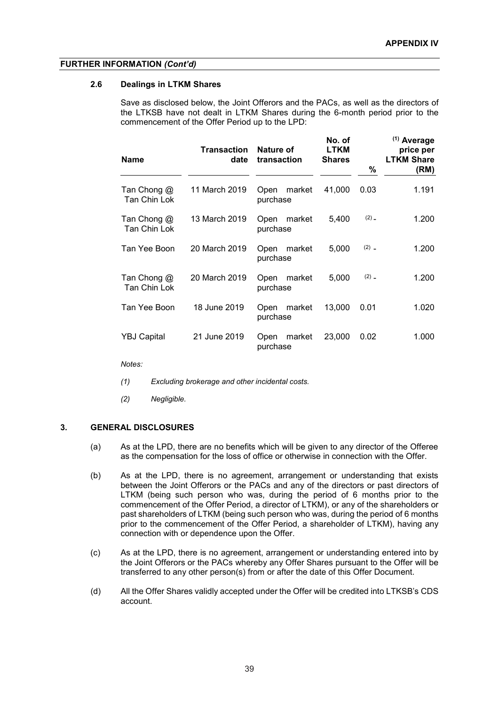#### **FURTHER INFORMATION** *(Cont'd)*

#### **2.6 Dealings in LTKM Shares**

Save as disclosed below, the Joint Offerors and the PACs, as well as the directors of the LTKSB have not dealt in LTKM Shares during the 6-month period prior to the commencement of the Offer Period up to the LPD:

| <b>Name</b>                 | <b>Transaction</b><br>date | Nature of<br>transaction   | No. of<br><b>LTKM</b><br><b>Shares</b> | %         | $(1)$ Average<br>price per<br><b>LTKM Share</b> |
|-----------------------------|----------------------------|----------------------------|----------------------------------------|-----------|-------------------------------------------------|
|                             |                            |                            |                                        |           | (RM)                                            |
| Tan Chong @<br>Tan Chin Lok | 11 March 2019              | market<br>Open<br>purchase | 41,000                                 | 0.03      | 1.191                                           |
| Tan Chong @<br>Tan Chin Lok | 13 March 2019              | Open<br>market<br>purchase | 5,400                                  | $(2)$ $-$ | 1.200                                           |
| Tan Yee Boon                | 20 March 2019              | market<br>Open<br>purchase | 5,000                                  | $(2)$ _   | 1.200                                           |
| Tan Chong @<br>Tan Chin Lok | 20 March 2019              | market<br>Open<br>purchase | 5,000                                  | $(2)$ $-$ | 1.200                                           |
| Tan Yee Boon                | 18 June 2019               | market<br>Open<br>purchase | 13,000                                 | 0.01      | 1.020                                           |
| <b>YBJ Capital</b>          | 21 June 2019               | market<br>Open<br>purchase | 23,000                                 | 0.02      | 1.000                                           |

*Notes:*

- *(1) Excluding brokerage and other incidental costs.*
- *(2) Negligible.*

## **3. GENERAL DISCLOSURES**

- (a) As at the LPD, there are no benefits which will be given to any director of the Offeree as the compensation for the loss of office or otherwise in connection with the Offer.
- (b) As at the LPD, there is no agreement, arrangement or understanding that exists between the Joint Offerors or the PACs and any of the directors or past directors of LTKM (being such person who was, during the period of 6 months prior to the commencement of the Offer Period, a director of LTKM), or any of the shareholders or past shareholders of LTKM (being such person who was, during the period of 6 months prior to the commencement of the Offer Period, a shareholder of LTKM), having any connection with or dependence upon the Offer.
- (c) As at the LPD, there is no agreement, arrangement or understanding entered into by the Joint Offerors or the PACs whereby any Offer Shares pursuant to the Offer will be transferred to any other person(s) from or after the date of this Offer Document.
- (d) All the Offer Shares validly accepted under the Offer will be credited into LTKSB's CDS account.